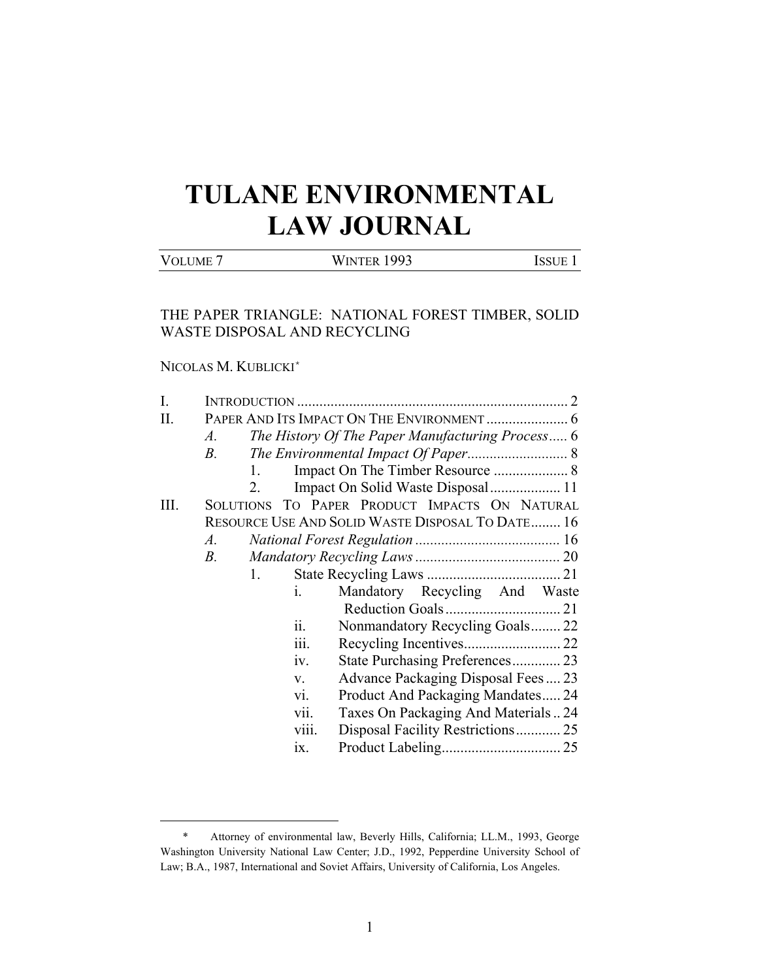# **TULANE ENVIRONMENTAL LAW JOURNAL**

# VOLUME 7 WINTER 1993 ISSUE 1

# THE PAPER TRIANGLE: NATIONAL FOREST TIMBER, SOLID WASTE DISPOSAL AND RECYCLING

# NICOLAS M. KUBLICKI\*

 $\overline{\phantom{0}}$ 

| I.                                                |                                                           |  |  |                                        |  |
|---------------------------------------------------|-----------------------------------------------------------|--|--|----------------------------------------|--|
| II.                                               |                                                           |  |  |                                        |  |
|                                                   | The History Of The Paper Manufacturing Process 6<br>$A$ . |  |  |                                        |  |
|                                                   | $B$ .                                                     |  |  |                                        |  |
|                                                   | 1.                                                        |  |  |                                        |  |
|                                                   | Impact On Solid Waste Disposal 11                         |  |  |                                        |  |
| Ш.                                                | SOLUTIONS TO PAPER PRODUCT IMPACTS ON NATURAL             |  |  |                                        |  |
| RESOURCE USE AND SOLID WASTE DISPOSAL TO DATE 16  |                                                           |  |  |                                        |  |
|                                                   | $A$ .                                                     |  |  |                                        |  |
|                                                   | B.                                                        |  |  |                                        |  |
| 1.                                                |                                                           |  |  |                                        |  |
|                                                   | Mandatory Recycling And Waste<br>i.                       |  |  |                                        |  |
|                                                   |                                                           |  |  |                                        |  |
| ii.<br>Nonmandatory Recycling Goals 22<br>iii.    |                                                           |  |  |                                        |  |
|                                                   |                                                           |  |  | iv.<br>State Purchasing Preferences 23 |  |
| Advance Packaging Disposal Fees 23<br>$V_{\star}$ |                                                           |  |  |                                        |  |
| Product And Packaging Mandates 24<br>vi.          |                                                           |  |  |                                        |  |
|                                                   | vii.<br>Taxes On Packaging And Materials24                |  |  |                                        |  |
| viii.<br>Disposal Facility Restrictions 25        |                                                           |  |  |                                        |  |
|                                                   | ix.                                                       |  |  |                                        |  |
|                                                   |                                                           |  |  |                                        |  |

<sup>\*</sup> Attorney of environmental law, Beverly Hills, California; LL.M., 1993, George Washington University National Law Center; J.D., 1992, Pepperdine University School of Law; B.A., 1987, International and Soviet Affairs, University of California, Los Angeles.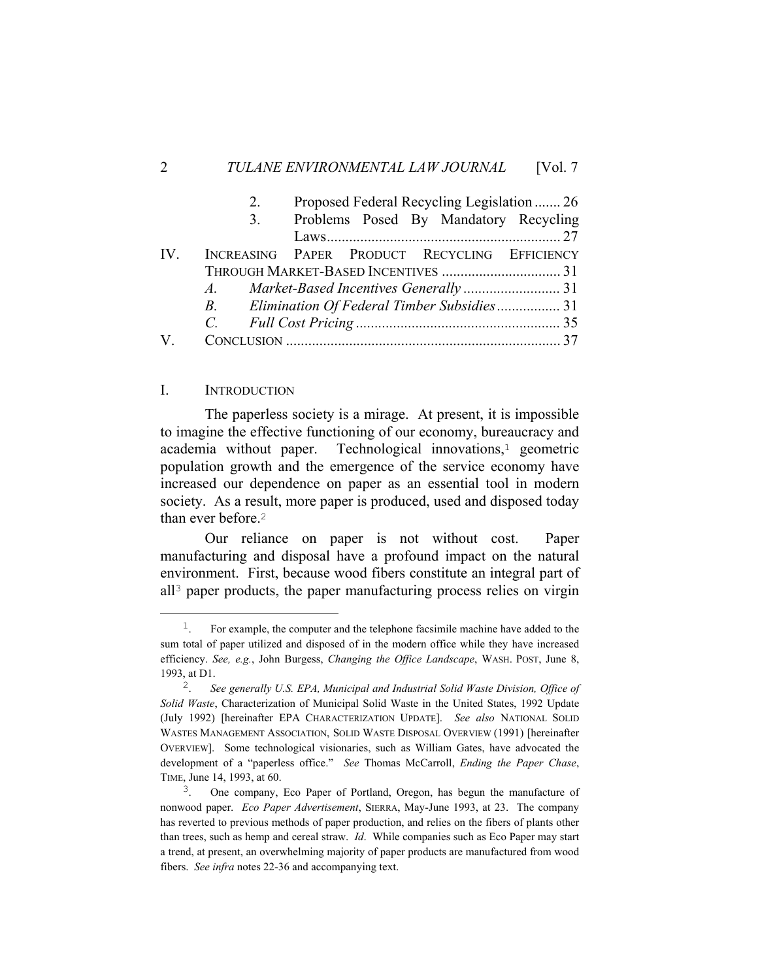|          | 2. | Proposed Federal Recycling Legislation  26    |  |
|----------|----|-----------------------------------------------|--|
|          | 3. | Problems Posed By Mandatory Recycling         |  |
|          |    |                                               |  |
| $IV_{-}$ |    | INCREASING PAPER PRODUCT RECYCLING EFFICIENCY |  |
|          |    |                                               |  |
|          |    |                                               |  |
|          |    |                                               |  |
|          | C. |                                               |  |
| V        |    |                                               |  |

# I. INTRODUCTION

 The paperless society is a mirage. At present, it is impossible to imagine the effective functioning of our economy, bureaucracy and academia without paper. Technological innovations,<sup>1</sup> geometric population growth and the emergence of the service economy have increased our dependence on paper as an essential tool in modern society. As a result, more paper is produced, used and disposed today than ever before.<sup>2</sup>

 Our reliance on paper is not without cost. Paper manufacturing and disposal have a profound impact on the natural environment. First, because wood fibers constitute an integral part of all3 paper products, the paper manufacturing process relies on virgin

<sup>&</sup>lt;sup>1</sup>. For example, the computer and the telephone facsimile machine have added to the sum total of paper utilized and disposed of in the modern office while they have increased efficiency. *See, e.g.*, John Burgess, *Changing the Office Landscape*, WASH. POST, June 8, 1993, at D1.

<sup>2</sup>. *See generally U.S. EPA, Municipal and Industrial Solid Waste Division, Office of Solid Waste*, Characterization of Municipal Solid Waste in the United States, 1992 Update (July 1992) [hereinafter EPA CHARACTERIZATION UPDATE]. *See also* NATIONAL SOLID WASTES MANAGEMENT ASSOCIATION, SOLID WASTE DISPOSAL OVERVIEW (1991) [hereinafter OVERVIEW]. Some technological visionaries, such as William Gates, have advocated the development of a "paperless office." *See* Thomas McCarroll, *Ending the Paper Chase*, TIME, June 14, 1993, at 60.

<sup>3</sup>. One company, Eco Paper of Portland, Oregon, has begun the manufacture of nonwood paper. *Eco Paper Advertisement*, SIERRA, May-June 1993, at 23. The company has reverted to previous methods of paper production, and relies on the fibers of plants other than trees, such as hemp and cereal straw. *Id*. While companies such as Eco Paper may start a trend, at present, an overwhelming majority of paper products are manufactured from wood fibers. *See infra* notes 22-36 and accompanying text.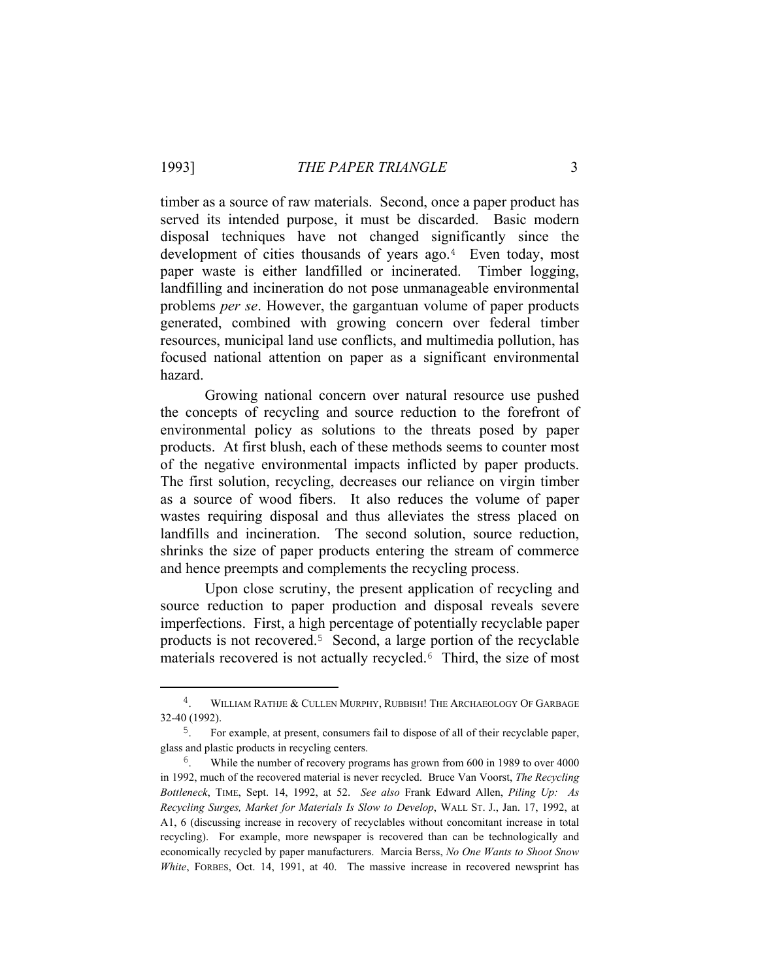timber as a source of raw materials. Second, once a paper product has served its intended purpose, it must be discarded. Basic modern disposal techniques have not changed significantly since the development of cities thousands of years ago.<sup>4</sup> Even today, most paper waste is either landfilled or incinerated. Timber logging, landfilling and incineration do not pose unmanageable environmental problems *per se*. However, the gargantuan volume of paper products generated, combined with growing concern over federal timber resources, municipal land use conflicts, and multimedia pollution, has focused national attention on paper as a significant environmental hazard.

 Growing national concern over natural resource use pushed the concepts of recycling and source reduction to the forefront of environmental policy as solutions to the threats posed by paper products. At first blush, each of these methods seems to counter most of the negative environmental impacts inflicted by paper products. The first solution, recycling, decreases our reliance on virgin timber as a source of wood fibers. It also reduces the volume of paper wastes requiring disposal and thus alleviates the stress placed on landfills and incineration. The second solution, source reduction, shrinks the size of paper products entering the stream of commerce and hence preempts and complements the recycling process.

 Upon close scrutiny, the present application of recycling and source reduction to paper production and disposal reveals severe imperfections. First, a high percentage of potentially recyclable paper products is not recovered.5 Second, a large portion of the recyclable materials recovered is not actually recycled.<sup>6</sup> Third, the size of most

<sup>&</sup>lt;sup>4</sup>. WILLIAM RATHJE & CULLEN MURPHY, RUBBISH! THE ARCHAEOLOGY OF GARBAGE 32-40 (1992).

<sup>5</sup>. For example, at present, consumers fail to dispose of all of their recyclable paper, glass and plastic products in recycling centers.

<sup>&</sup>lt;sup>6</sup>. While the number of recovery programs has grown from 600 in 1989 to over 4000 in 1992, much of the recovered material is never recycled. Bruce Van Voorst, *The Recycling Bottleneck*, TIME, Sept. 14, 1992, at 52. *See also* Frank Edward Allen, *Piling Up: As Recycling Surges, Market for Materials Is Slow to Develop*, WALL ST. J., Jan. 17, 1992, at A1, 6 (discussing increase in recovery of recyclables without concomitant increase in total recycling). For example, more newspaper is recovered than can be technologically and economically recycled by paper manufacturers. Marcia Berss, *No One Wants to Shoot Snow White*, FORBES, Oct. 14, 1991, at 40. The massive increase in recovered newsprint has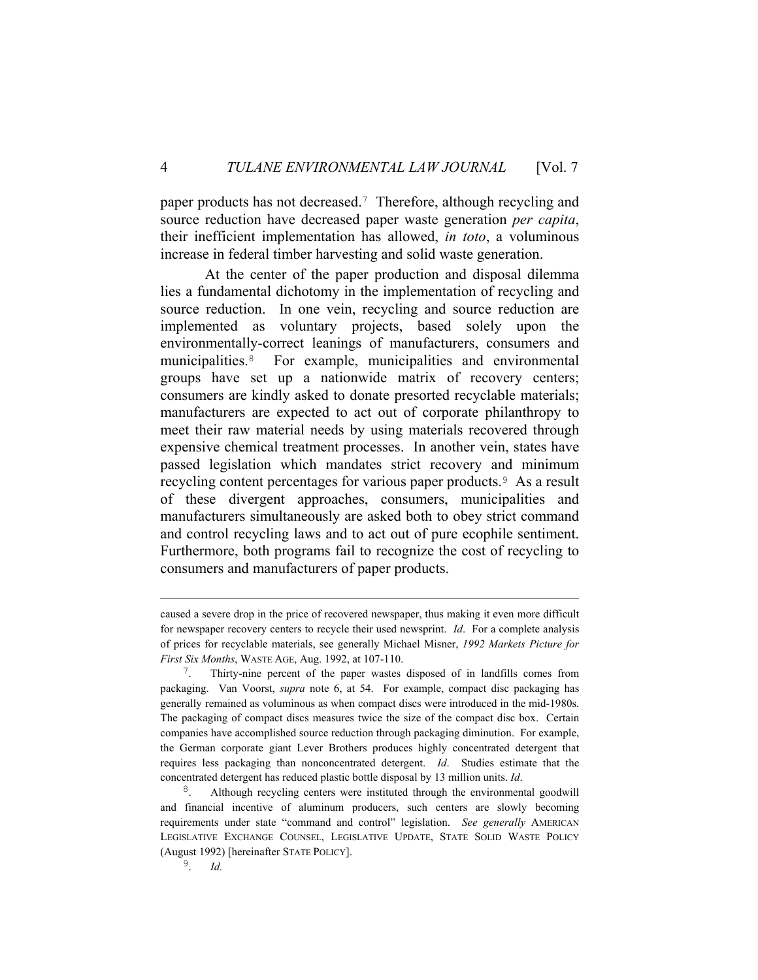paper products has not decreased.7 Therefore, although recycling and source reduction have decreased paper waste generation *per capita*, their inefficient implementation has allowed, *in toto*, a voluminous increase in federal timber harvesting and solid waste generation.

 At the center of the paper production and disposal dilemma lies a fundamental dichotomy in the implementation of recycling and source reduction. In one vein, recycling and source reduction are implemented as voluntary projects, based solely upon the environmentally-correct leanings of manufacturers, consumers and municipalities.8 For example, municipalities and environmental groups have set up a nationwide matrix of recovery centers; consumers are kindly asked to donate presorted recyclable materials; manufacturers are expected to act out of corporate philanthropy to meet their raw material needs by using materials recovered through expensive chemical treatment processes. In another vein, states have passed legislation which mandates strict recovery and minimum recycling content percentages for various paper products.9 As a result of these divergent approaches, consumers, municipalities and manufacturers simultaneously are asked both to obey strict command and control recycling laws and to act out of pure ecophile sentiment. Furthermore, both programs fail to recognize the cost of recycling to consumers and manufacturers of paper products.

i<br>Li

caused a severe drop in the price of recovered newspaper, thus making it even more difficult for newspaper recovery centers to recycle their used newsprint. *Id*. For a complete analysis of prices for recyclable materials, see generally Michael Misner, *1992 Markets Picture for First Six Months*, WASTE AGE, Aug. 1992, at 107-110.

<sup>7</sup>. Thirty-nine percent of the paper wastes disposed of in landfills comes from packaging. Van Voorst, *supra* note 6, at 54. For example, compact disc packaging has generally remained as voluminous as when compact discs were introduced in the mid-1980s. The packaging of compact discs measures twice the size of the compact disc box. Certain companies have accomplished source reduction through packaging diminution. For example, the German corporate giant Lever Brothers produces highly concentrated detergent that requires less packaging than nonconcentrated detergent. *Id*. Studies estimate that the concentrated detergent has reduced plastic bottle disposal by 13 million units. *Id*.

<sup>&</sup>lt;sup>8</sup>. Although recycling centers were instituted through the environmental goodwill and financial incentive of aluminum producers, such centers are slowly becoming requirements under state "command and control" legislation. *See generally* AMERICAN LEGISLATIVE EXCHANGE COUNSEL, LEGISLATIVE UPDATE, STATE SOLID WASTE POLICY (August 1992) [hereinafter STATE POLICY].

<sup>9</sup>. *Id.*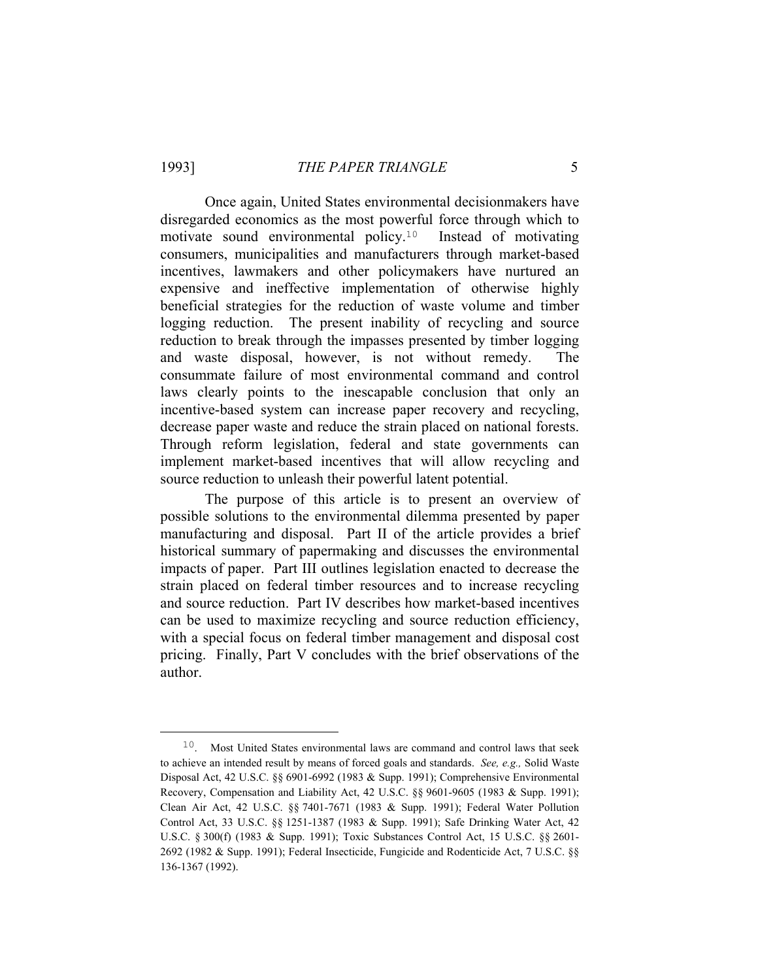Once again, United States environmental decisionmakers have disregarded economics as the most powerful force through which to motivate sound environmental policy.10 Instead of motivating consumers, municipalities and manufacturers through market-based incentives, lawmakers and other policymakers have nurtured an expensive and ineffective implementation of otherwise highly beneficial strategies for the reduction of waste volume and timber logging reduction. The present inability of recycling and source reduction to break through the impasses presented by timber logging and waste disposal, however, is not without remedy. The consummate failure of most environmental command and control laws clearly points to the inescapable conclusion that only an incentive-based system can increase paper recovery and recycling, decrease paper waste and reduce the strain placed on national forests. Through reform legislation, federal and state governments can implement market-based incentives that will allow recycling and source reduction to unleash their powerful latent potential.

 The purpose of this article is to present an overview of possible solutions to the environmental dilemma presented by paper manufacturing and disposal. Part II of the article provides a brief historical summary of papermaking and discusses the environmental impacts of paper. Part III outlines legislation enacted to decrease the strain placed on federal timber resources and to increase recycling and source reduction. Part IV describes how market-based incentives can be used to maximize recycling and source reduction efficiency, with a special focus on federal timber management and disposal cost pricing. Finally, Part V concludes with the brief observations of the author.

 $10$ . Most United States environmental laws are command and control laws that seek to achieve an intended result by means of forced goals and standards. *See, e.g.,* Solid Waste Disposal Act, 42 U.S.C. §§ 6901-6992 (1983 & Supp. 1991); Comprehensive Environmental Recovery, Compensation and Liability Act, 42 U.S.C. §§ 9601-9605 (1983 & Supp. 1991); Clean Air Act, 42 U.S.C. §§ 7401-7671 (1983 & Supp. 1991); Federal Water Pollution Control Act, 33 U.S.C. §§ 1251-1387 (1983 & Supp. 1991); Safe Drinking Water Act, 42 U.S.C. § 300(f) (1983 & Supp. 1991); Toxic Substances Control Act, 15 U.S.C. §§ 2601- 2692 (1982 & Supp. 1991); Federal Insecticide, Fungicide and Rodenticide Act, 7 U.S.C. §§ 136-1367 (1992).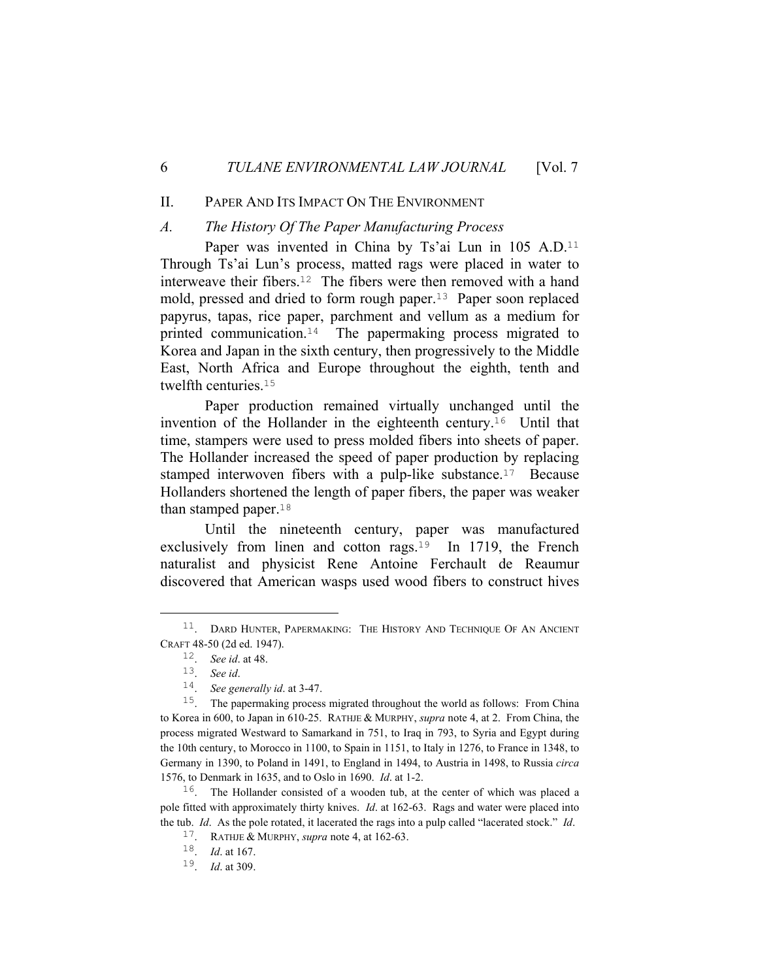#### II. PAPER AND ITS IMPACT ON THE ENVIRONMENT

#### *A. The History Of The Paper Manufacturing Process*

Paper was invented in China by Ts'ai Lun in 105 A.D.<sup>11</sup> Through Ts'ai Lun's process, matted rags were placed in water to interweave their fibers.12 The fibers were then removed with a hand mold, pressed and dried to form rough paper.13 Paper soon replaced papyrus, tapas, rice paper, parchment and vellum as a medium for printed communication.14 The papermaking process migrated to Korea and Japan in the sixth century, then progressively to the Middle East, North Africa and Europe throughout the eighth, tenth and twelfth centuries.<sup>15</sup>

 Paper production remained virtually unchanged until the invention of the Hollander in the eighteenth century.16 Until that time, stampers were used to press molded fibers into sheets of paper. The Hollander increased the speed of paper production by replacing stamped interwoven fibers with a pulp-like substance.<sup>17</sup> Because Hollanders shortened the length of paper fibers, the paper was weaker than stamped paper.<sup>18</sup>

 Until the nineteenth century, paper was manufactured exclusively from linen and cotton rags.<sup>19</sup> In 1719, the French naturalist and physicist Rene Antoine Ferchault de Reaumur discovered that American wasps used wood fibers to construct hives

<sup>&</sup>lt;sup>11</sup>. DARD HUNTER, PAPERMAKING: THE HISTORY AND TECHNIQUE OF AN ANCIENT CRAFT 48-50 (2d ed. 1947).

<sup>12</sup>. *See id*. at 48.

<sup>13</sup>. *See id*.

<sup>14</sup>. *See generally id*. at 3-47.

<sup>15</sup>. The papermaking process migrated throughout the world as follows: From China to Korea in 600, to Japan in 610-25. RATHJE & MURPHY, *supra* note 4, at 2. From China, the process migrated Westward to Samarkand in 751, to Iraq in 793, to Syria and Egypt during the 10th century, to Morocco in 1100, to Spain in 1151, to Italy in 1276, to France in 1348, to Germany in 1390, to Poland in 1491, to England in 1494, to Austria in 1498, to Russia *circa* 1576, to Denmark in 1635, and to Oslo in 1690. *Id*. at 1-2.

<sup>&</sup>lt;sup>16</sup>. The Hollander consisted of a wooden tub, at the center of which was placed a pole fitted with approximately thirty knives. *Id*. at 162-63. Rags and water were placed into the tub. *Id*. As the pole rotated, it lacerated the rags into a pulp called "lacerated stock." *Id*.

<sup>17</sup>. RATHJE & MURPHY, *supra* note 4, at 162-63.

<sup>18</sup>. *Id*. at 167.

<sup>19</sup>. *Id*. at 309.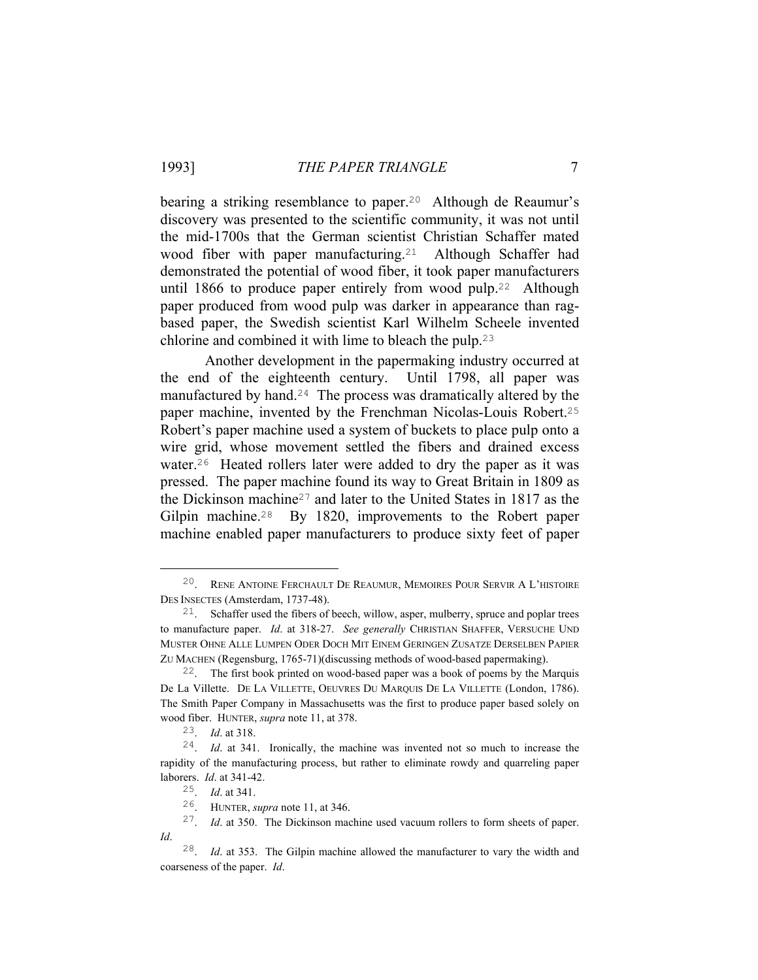bearing a striking resemblance to paper.<sup>20</sup> Although de Reaumur's discovery was presented to the scientific community, it was not until the mid-1700s that the German scientist Christian Schaffer mated wood fiber with paper manufacturing.<sup>21</sup> Although Schaffer had demonstrated the potential of wood fiber, it took paper manufacturers until 1866 to produce paper entirely from wood pulp.22 Although paper produced from wood pulp was darker in appearance than ragbased paper, the Swedish scientist Karl Wilhelm Scheele invented chlorine and combined it with lime to bleach the pulp.<sup>23</sup>

 Another development in the papermaking industry occurred at the end of the eighteenth century. Until 1798, all paper was manufactured by hand.24 The process was dramatically altered by the paper machine, invented by the Frenchman Nicolas-Louis Robert.<sup>25</sup> Robert's paper machine used a system of buckets to place pulp onto a wire grid, whose movement settled the fibers and drained excess water.26 Heated rollers later were added to dry the paper as it was pressed. The paper machine found its way to Great Britain in 1809 as the Dickinson machine27 and later to the United States in 1817 as the Gilpin machine.<sup>28</sup> By 1820, improvements to the Robert paper machine enabled paper manufacturers to produce sixty feet of paper

 <sup>20</sup>. RENE ANTOINE FERCHAULT DE REAUMUR, MEMOIRES POUR SERVIR A L'HISTOIRE DES INSECTES (Amsterdam, 1737-48).

 $21.$  Schaffer used the fibers of beech, willow, asper, mulberry, spruce and poplar trees to manufacture paper. *Id*. at 318-27. *See generally* CHRISTIAN SHAFFER, VERSUCHE UND MUSTER OHNE ALLE LUMPEN ODER DOCH MIT EINEM GERINGEN ZUSATZE DERSELBEN PAPIER ZU MACHEN (Regensburg, 1765-71)(discussing methods of wood-based papermaking).

<sup>22</sup>. The first book printed on wood-based paper was a book of poems by the Marquis De La Villette. DE LA VILLETTE, OEUVRES DU MARQUIS DE LA VILLETTE (London, 1786). The Smith Paper Company in Massachusetts was the first to produce paper based solely on wood fiber. HUNTER, *supra* note 11, at 378.

<sup>23</sup>. *Id*. at 318.

<sup>24</sup>. *Id*. at 341. Ironically, the machine was invented not so much to increase the rapidity of the manufacturing process, but rather to eliminate rowdy and quarreling paper laborers. *Id*. at 341-42.

<sup>25</sup>. *Id*. at 341.

<sup>26</sup>. HUNTER, *supra* note 11, at 346.

<sup>27</sup>. *Id*. at 350. The Dickinson machine used vacuum rollers to form sheets of paper. *Id*.

<sup>28</sup>. *Id*. at 353. The Gilpin machine allowed the manufacturer to vary the width and coarseness of the paper. *Id*.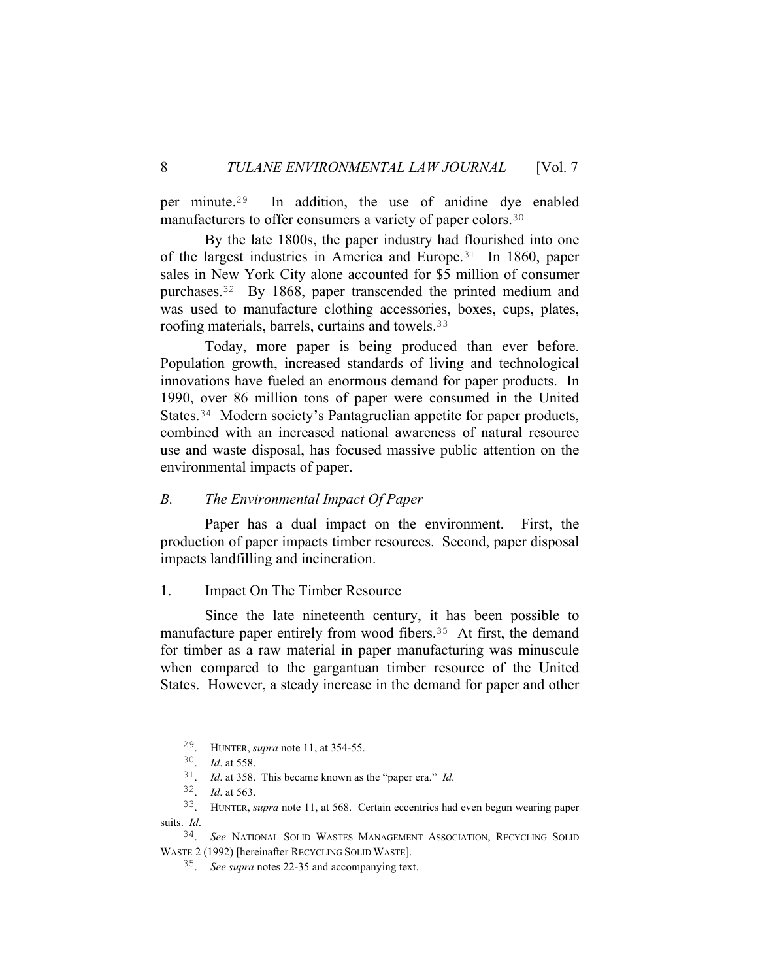per minute.29 In addition, the use of anidine dye enabled manufacturers to offer consumers a variety of paper colors.<sup>30</sup>

 By the late 1800s, the paper industry had flourished into one of the largest industries in America and Europe.31 In 1860, paper sales in New York City alone accounted for \$5 million of consumer purchases.32 By 1868, paper transcended the printed medium and was used to manufacture clothing accessories, boxes, cups, plates, roofing materials, barrels, curtains and towels.<sup>33</sup>

 Today, more paper is being produced than ever before. Population growth, increased standards of living and technological innovations have fueled an enormous demand for paper products. In 1990, over 86 million tons of paper were consumed in the United States.34 Modern society's Pantagruelian appetite for paper products, combined with an increased national awareness of natural resource use and waste disposal, has focused massive public attention on the environmental impacts of paper.

# *B. The Environmental Impact Of Paper*

 Paper has a dual impact on the environment. First, the production of paper impacts timber resources. Second, paper disposal impacts landfilling and incineration.

# 1. Impact On The Timber Resource

 Since the late nineteenth century, it has been possible to manufacture paper entirely from wood fibers.<sup>35</sup> At first, the demand for timber as a raw material in paper manufacturing was minuscule when compared to the gargantuan timber resource of the United States. However, a steady increase in the demand for paper and other

 <sup>29</sup>. HUNTER, *supra* note 11, at 354-55.

<sup>30</sup>. *Id*. at 558.

<sup>31</sup>. *Id*. at 358. This became known as the "paper era." *Id*.

<sup>32</sup>. *Id*. at 563.

<sup>33</sup>. HUNTER, *supra* note 11, at 568. Certain eccentrics had even begun wearing paper suits. *Id*.

<sup>34</sup>. *See* NATIONAL SOLID WASTES MANAGEMENT ASSOCIATION, RECYCLING SOLID WASTE 2 (1992) [hereinafter RECYCLING SOLID WASTE].

<sup>35</sup>. *See supra* notes 22-35 and accompanying text.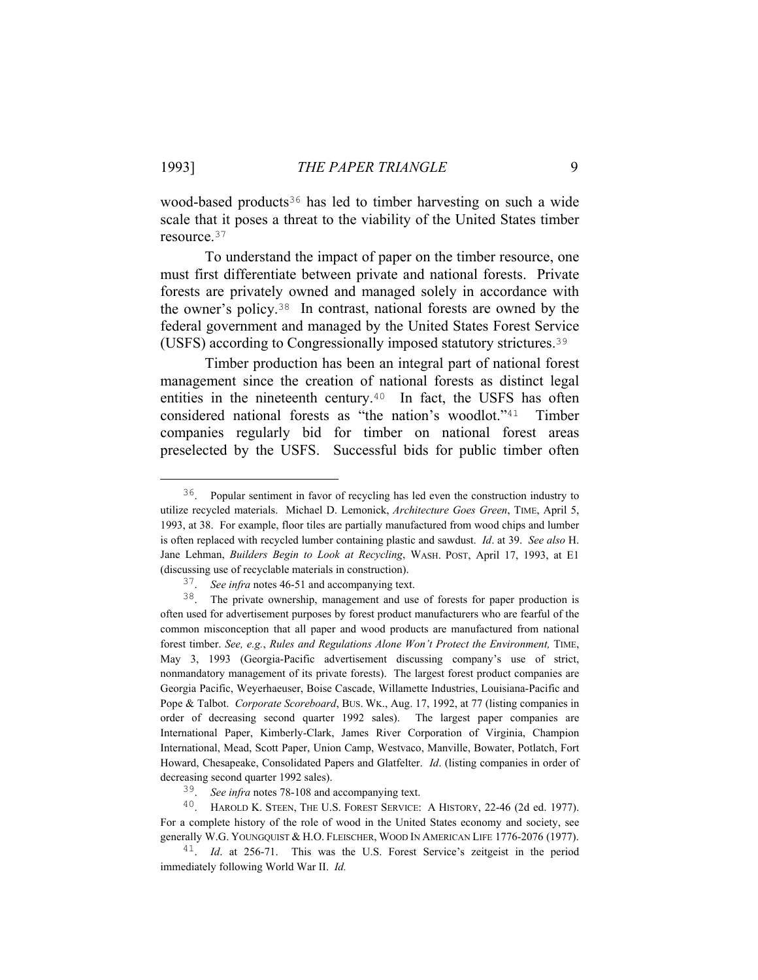wood-based products36 has led to timber harvesting on such a wide scale that it poses a threat to the viability of the United States timber resource.<sup>37</sup>

 To understand the impact of paper on the timber resource, one must first differentiate between private and national forests. Private forests are privately owned and managed solely in accordance with the owner's policy.38 In contrast, national forests are owned by the federal government and managed by the United States Forest Service (USFS) according to Congressionally imposed statutory strictures.<sup>39</sup>

 Timber production has been an integral part of national forest management since the creation of national forests as distinct legal entities in the nineteenth century.<sup>40</sup> In fact, the USFS has often considered national forests as "the nation's woodlot."41 Timber companies regularly bid for timber on national forest areas preselected by the USFS. Successful bids for public timber often

 <sup>36</sup>. Popular sentiment in favor of recycling has led even the construction industry to utilize recycled materials. Michael D. Lemonick, *Architecture Goes Green*, TIME, April 5, 1993, at 38. For example, floor tiles are partially manufactured from wood chips and lumber is often replaced with recycled lumber containing plastic and sawdust. *Id*. at 39. *See also* H. Jane Lehman, *Builders Begin to Look at Recycling*, WASH. POST, April 17, 1993, at E1 (discussing use of recyclable materials in construction).

<sup>37</sup>. *See infra* notes 46-51 and accompanying text.

<sup>38</sup>. The private ownership, management and use of forests for paper production is often used for advertisement purposes by forest product manufacturers who are fearful of the common misconception that all paper and wood products are manufactured from national forest timber. *See, e.g.*, *Rules and Regulations Alone Won't Protect the Environment,* TIME, May 3, 1993 (Georgia-Pacific advertisement discussing company's use of strict, nonmandatory management of its private forests). The largest forest product companies are Georgia Pacific, Weyerhaeuser, Boise Cascade, Willamette Industries, Louisiana-Pacific and Pope & Talbot. *Corporate Scoreboard*, BUS. WK., Aug. 17, 1992, at 77 (listing companies in order of decreasing second quarter 1992 sales). The largest paper companies are International Paper, Kimberly-Clark, James River Corporation of Virginia, Champion International, Mead, Scott Paper, Union Camp, Westvaco, Manville, Bowater, Potlatch, Fort Howard, Chesapeake, Consolidated Papers and Glatfelter. *Id*. (listing companies in order of decreasing second quarter 1992 sales).

<sup>39</sup>. *See infra* notes 78-108 and accompanying text.

<sup>&</sup>lt;sup>40</sup>. HAROLD K. STEEN, THE U.S. FOREST SERVICE: A HISTORY, 22-46 (2d ed. 1977). For a complete history of the role of wood in the United States economy and society, see generally W.G. YOUNGQUIST & H.O. FLEISCHER, WOOD IN AMERICAN LIFE 1776-2076 (1977).

<sup>41</sup>. *Id*. at 256-71. This was the U.S. Forest Service's zeitgeist in the period immediately following World War II. *Id.*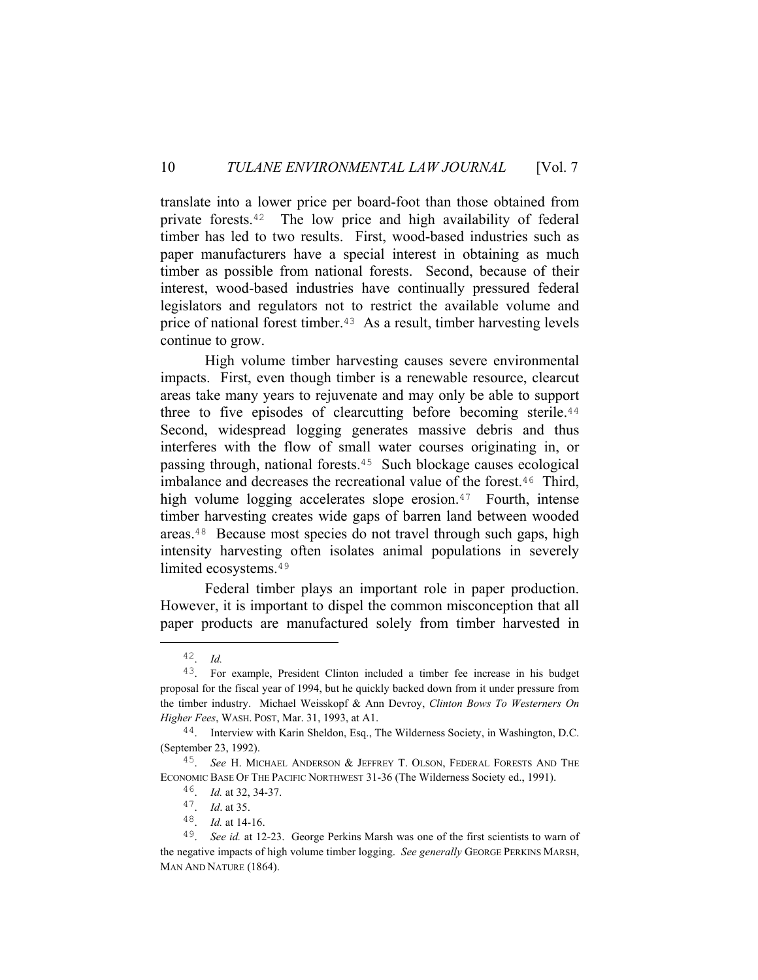translate into a lower price per board-foot than those obtained from private forests.42 The low price and high availability of federal timber has led to two results. First, wood-based industries such as paper manufacturers have a special interest in obtaining as much timber as possible from national forests. Second, because of their interest, wood-based industries have continually pressured federal legislators and regulators not to restrict the available volume and price of national forest timber.43 As a result, timber harvesting levels continue to grow.

 High volume timber harvesting causes severe environmental impacts. First, even though timber is a renewable resource, clearcut areas take many years to rejuvenate and may only be able to support three to five episodes of clearcutting before becoming sterile.<sup>44</sup> Second, widespread logging generates massive debris and thus interferes with the flow of small water courses originating in, or passing through, national forests.45 Such blockage causes ecological imbalance and decreases the recreational value of the forest.46 Third, high volume logging accelerates slope erosion.<sup>47</sup> Fourth, intense timber harvesting creates wide gaps of barren land between wooded areas.48 Because most species do not travel through such gaps, high intensity harvesting often isolates animal populations in severely limited ecosystems.<sup>49</sup>

 Federal timber plays an important role in paper production. However, it is important to dispel the common misconception that all paper products are manufactured solely from timber harvested in

 <sup>42</sup>. *Id.*

<sup>43</sup>. For example, President Clinton included a timber fee increase in his budget proposal for the fiscal year of 1994, but he quickly backed down from it under pressure from the timber industry. Michael Weisskopf & Ann Devroy, *Clinton Bows To Westerners On Higher Fees*, WASH. POST, Mar. 31, 1993, at A1.

<sup>44</sup>. Interview with Karin Sheldon, Esq., The Wilderness Society, in Washington, D.C. (September 23, 1992).

<sup>45</sup>. *See* H. MICHAEL ANDERSON & JEFFREY T. OLSON, FEDERAL FORESTS AND THE ECONOMIC BASE OF THE PACIFIC NORTHWEST 31-36 (The Wilderness Society ed., 1991).

<sup>46</sup>. *Id.* at 32, 34-37.

<sup>47</sup>. *Id*. at 35.

<sup>48</sup>. *Id.* at 14-16.

<sup>49</sup>. *See id.* at 12-23. George Perkins Marsh was one of the first scientists to warn of the negative impacts of high volume timber logging. *See generally* GEORGE PERKINS MARSH, MAN AND NATURE (1864).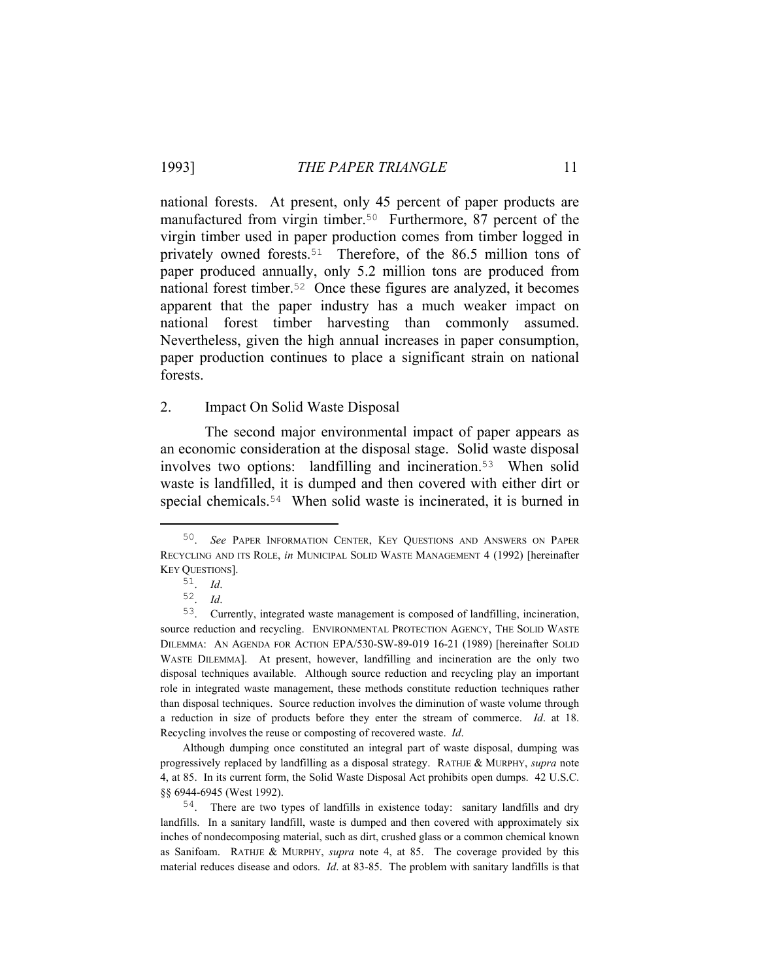national forests. At present, only 45 percent of paper products are manufactured from virgin timber.<sup>50</sup> Furthermore, 87 percent of the virgin timber used in paper production comes from timber logged in privately owned forests.51 Therefore, of the 86.5 million tons of paper produced annually, only 5.2 million tons are produced from national forest timber.52 Once these figures are analyzed, it becomes apparent that the paper industry has a much weaker impact on national forest timber harvesting than commonly assumed. Nevertheless, given the high annual increases in paper consumption, paper production continues to place a significant strain on national forests.

#### 2. Impact On Solid Waste Disposal

 The second major environmental impact of paper appears as an economic consideration at the disposal stage. Solid waste disposal involves two options: landfilling and incineration.53 When solid waste is landfilled, it is dumped and then covered with either dirt or special chemicals.54 When solid waste is incinerated, it is burned in

 Although dumping once constituted an integral part of waste disposal, dumping was progressively replaced by landfilling as a disposal strategy. RATHJE & MURPHY, *supra* note 4, at 85. In its current form, the Solid Waste Disposal Act prohibits open dumps. 42 U.S.C. §§ 6944-6945 (West 1992).

 <sup>50</sup>. *See* PAPER INFORMATION CENTER, KEY QUESTIONS AND ANSWERS ON PAPER RECYCLING AND ITS ROLE, *in* MUNICIPAL SOLID WASTE MANAGEMENT 4 (1992) [hereinafter KEY QUESTIONS].

<sup>51</sup>. *Id*.

<sup>52</sup>. *Id*.

<sup>53</sup>. Currently, integrated waste management is composed of landfilling, incineration, source reduction and recycling. ENVIRONMENTAL PROTECTION AGENCY, THE SOLID WASTE DILEMMA: AN AGENDA FOR ACTION EPA/530-SW-89-019 16-21 (1989) [hereinafter SOLID WASTE DILEMMA]. At present, however, landfilling and incineration are the only two disposal techniques available. Although source reduction and recycling play an important role in integrated waste management, these methods constitute reduction techniques rather than disposal techniques. Source reduction involves the diminution of waste volume through a reduction in size of products before they enter the stream of commerce. *Id*. at 18. Recycling involves the reuse or composting of recovered waste. *Id*.

<sup>54</sup>. There are two types of landfills in existence today: sanitary landfills and dry landfills. In a sanitary landfill, waste is dumped and then covered with approximately six inches of nondecomposing material, such as dirt, crushed glass or a common chemical known as Sanifoam. RATHJE & MURPHY, *supra* note 4, at 85. The coverage provided by this material reduces disease and odors. *Id*. at 83-85. The problem with sanitary landfills is that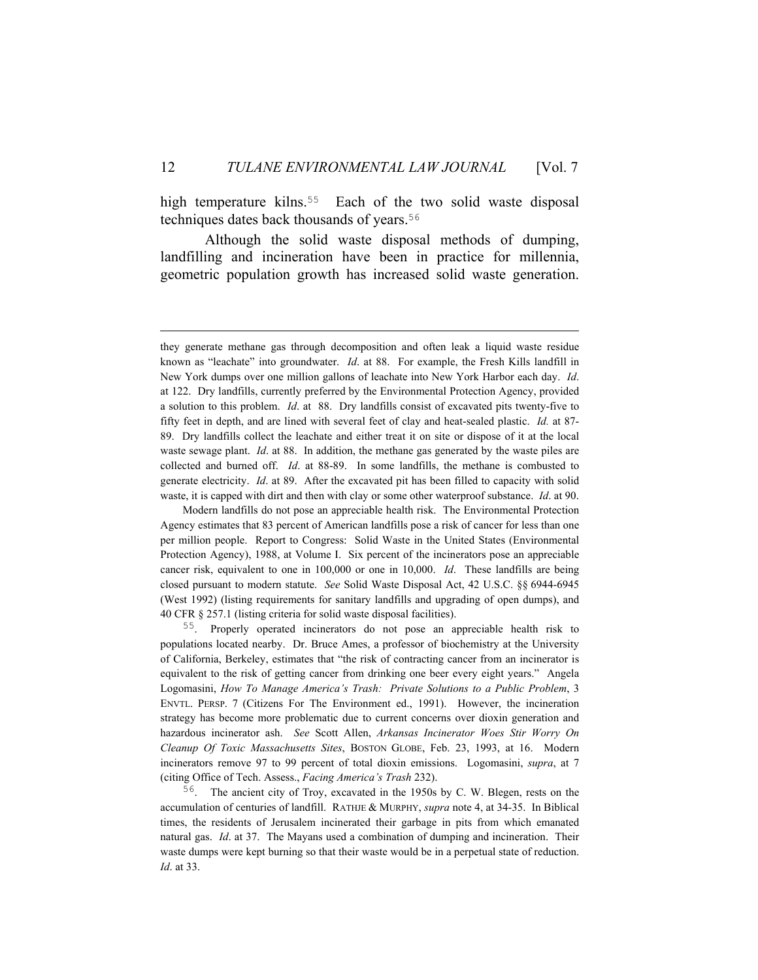high temperature kilns.<sup>55</sup> Each of the two solid waste disposal techniques dates back thousands of years.<sup>56</sup>

 Although the solid waste disposal methods of dumping, landfilling and incineration have been in practice for millennia, geometric population growth has increased solid waste generation.

i<br>Li

 Modern landfills do not pose an appreciable health risk. The Environmental Protection Agency estimates that 83 percent of American landfills pose a risk of cancer for less than one per million people. Report to Congress: Solid Waste in the United States (Environmental Protection Agency), 1988, at Volume I. Six percent of the incinerators pose an appreciable cancer risk, equivalent to one in 100,000 or one in 10,000. *Id*. These landfills are being closed pursuant to modern statute. *See* Solid Waste Disposal Act, 42 U.S.C. §§ 6944-6945 (West 1992) (listing requirements for sanitary landfills and upgrading of open dumps), and 40 CFR § 257.1 (listing criteria for solid waste disposal facilities).

55. Properly operated incinerators do not pose an appreciable health risk to populations located nearby. Dr. Bruce Ames, a professor of biochemistry at the University of California, Berkeley, estimates that "the risk of contracting cancer from an incinerator is equivalent to the risk of getting cancer from drinking one beer every eight years." Angela Logomasini, *How To Manage America's Trash: Private Solutions to a Public Problem*, 3 ENVTL. PERSP. 7 (Citizens For The Environment ed., 1991). However, the incineration strategy has become more problematic due to current concerns over dioxin generation and hazardous incinerator ash. *See* Scott Allen, *Arkansas Incinerator Woes Stir Worry On Cleanup Of Toxic Massachusetts Sites*, BOSTON GLOBE, Feb. 23, 1993, at 16. Modern incinerators remove 97 to 99 percent of total dioxin emissions. Logomasini, *supra*, at 7 (citing Office of Tech. Assess., *Facing America's Trash* 232).

56. The ancient city of Troy, excavated in the 1950s by C. W. Blegen, rests on the accumulation of centuries of landfill. RATHJE & MURPHY, *supra* note 4, at 34-35. In Biblical times, the residents of Jerusalem incinerated their garbage in pits from which emanated natural gas. *Id*. at 37. The Mayans used a combination of dumping and incineration. Their waste dumps were kept burning so that their waste would be in a perpetual state of reduction. *Id*. at 33.

they generate methane gas through decomposition and often leak a liquid waste residue known as "leachate" into groundwater. *Id*. at 88. For example, the Fresh Kills landfill in New York dumps over one million gallons of leachate into New York Harbor each day. *Id*. at 122. Dry landfills, currently preferred by the Environmental Protection Agency, provided a solution to this problem. *Id*. at 88. Dry landfills consist of excavated pits twenty-five to fifty feet in depth, and are lined with several feet of clay and heat-sealed plastic. *Id.* at 87- 89. Dry landfills collect the leachate and either treat it on site or dispose of it at the local waste sewage plant. *Id*. at 88. In addition, the methane gas generated by the waste piles are collected and burned off. *Id*. at 88-89. In some landfills, the methane is combusted to generate electricity. *Id*. at 89. After the excavated pit has been filled to capacity with solid waste, it is capped with dirt and then with clay or some other waterproof substance. *Id*. at 90.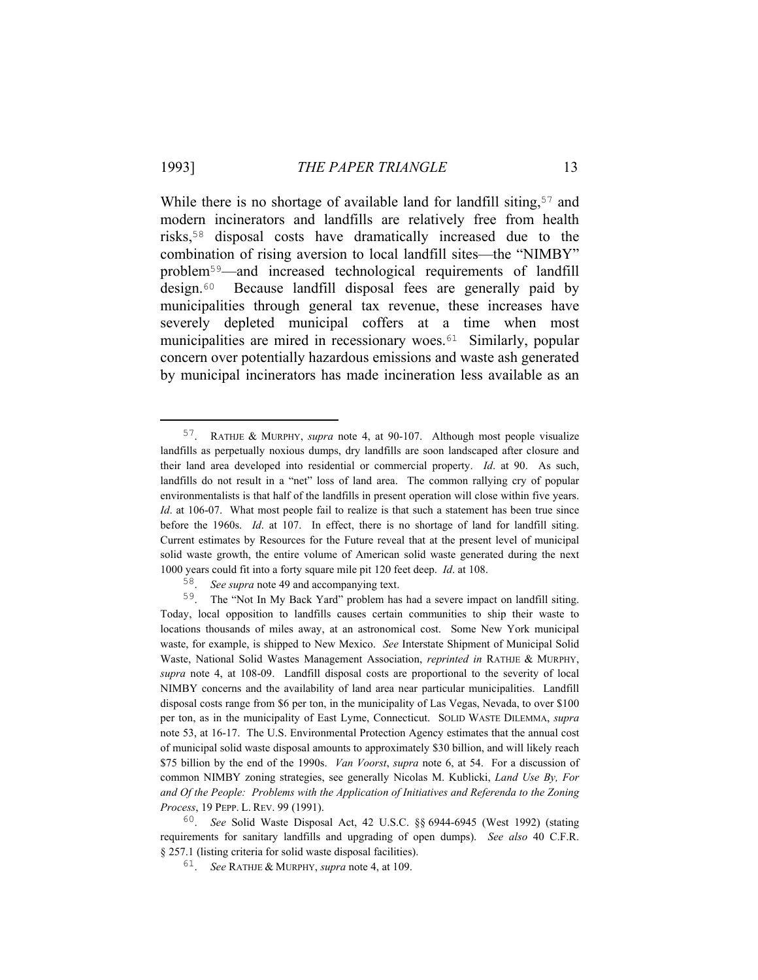While there is no shortage of available land for landfill siting,<sup>57</sup> and modern incinerators and landfills are relatively free from health risks,58 disposal costs have dramatically increased due to the combination of rising aversion to local landfill sites—the "NIMBY" problem59—and increased technological requirements of landfill design.60 Because landfill disposal fees are generally paid by municipalities through general tax revenue, these increases have severely depleted municipal coffers at a time when most municipalities are mired in recessionary woes.<sup>61</sup> Similarly, popular concern over potentially hazardous emissions and waste ash generated by municipal incinerators has made incineration less available as an

 <sup>57</sup>. RATHJE & MURPHY, *supra* note 4, at 90-107. Although most people visualize landfills as perpetually noxious dumps, dry landfills are soon landscaped after closure and their land area developed into residential or commercial property. *Id*. at 90. As such, landfills do not result in a "net" loss of land area. The common rallying cry of popular environmentalists is that half of the landfills in present operation will close within five years. *Id.* at 106-07. What most people fail to realize is that such a statement has been true since before the 1960s. *Id*. at 107. In effect, there is no shortage of land for landfill siting. Current estimates by Resources for the Future reveal that at the present level of municipal solid waste growth, the entire volume of American solid waste generated during the next 1000 years could fit into a forty square mile pit 120 feet deep. *Id*. at 108.

<sup>58</sup>. *See supra* note 49 and accompanying text.

<sup>59</sup>. The "Not In My Back Yard" problem has had a severe impact on landfill siting. Today, local opposition to landfills causes certain communities to ship their waste to locations thousands of miles away, at an astronomical cost. Some New York municipal waste, for example, is shipped to New Mexico. *See* Interstate Shipment of Municipal Solid Waste, National Solid Wastes Management Association, *reprinted in* RATHJE & MURPHY, *supra* note 4, at 108-09. Landfill disposal costs are proportional to the severity of local NIMBY concerns and the availability of land area near particular municipalities. Landfill disposal costs range from \$6 per ton, in the municipality of Las Vegas, Nevada, to over \$100 per ton, as in the municipality of East Lyme, Connecticut. SOLID WASTE DILEMMA, *supra* note 53, at 16-17. The U.S. Environmental Protection Agency estimates that the annual cost of municipal solid waste disposal amounts to approximately \$30 billion, and will likely reach \$75 billion by the end of the 1990s. *Van Voorst*, *supra* note 6, at 54. For a discussion of common NIMBY zoning strategies, see generally Nicolas M. Kublicki, *Land Use By, For and Of the People: Problems with the Application of Initiatives and Referenda to the Zoning Process*, 19 PEPP. L. REV. 99 (1991).

<sup>60</sup>. *See* Solid Waste Disposal Act, 42 U.S.C. §§ 6944-6945 (West 1992) (stating requirements for sanitary landfills and upgrading of open dumps). *See also* 40 C.F.R. § 257.1 (listing criteria for solid waste disposal facilities).

<sup>61</sup>. *See* RATHJE & MURPHY, *supra* note 4, at 109.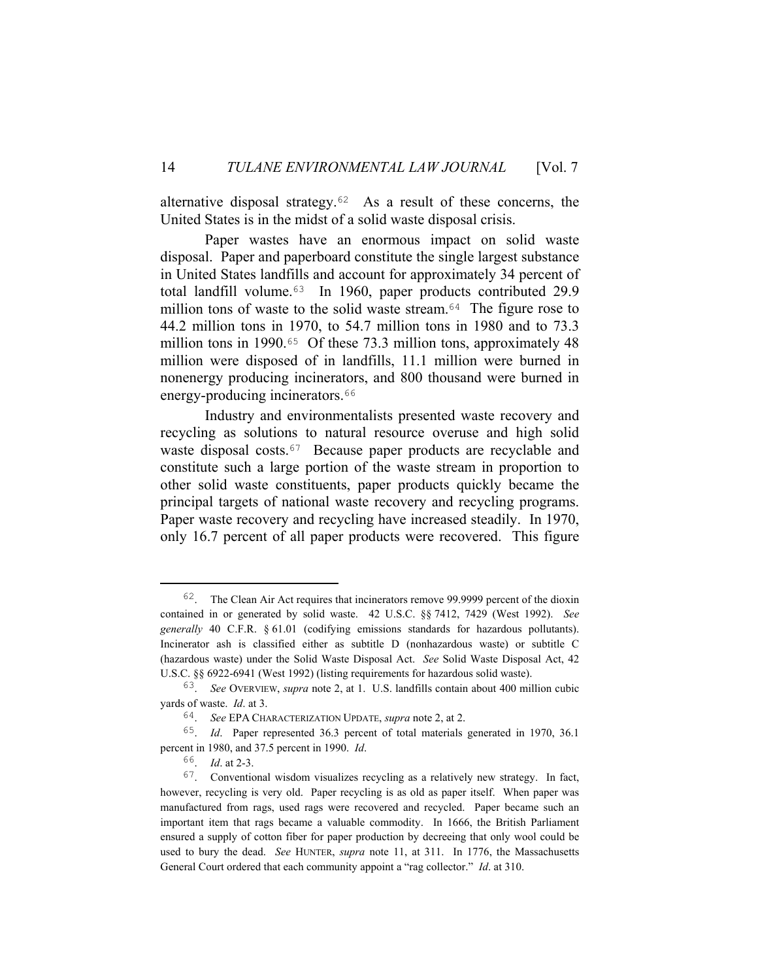alternative disposal strategy.62 As a result of these concerns, the United States is in the midst of a solid waste disposal crisis.

 Paper wastes have an enormous impact on solid waste disposal. Paper and paperboard constitute the single largest substance in United States landfills and account for approximately 34 percent of total landfill volume.63 In 1960, paper products contributed 29.9 million tons of waste to the solid waste stream.<sup>64</sup> The figure rose to 44.2 million tons in 1970, to 54.7 million tons in 1980 and to 73.3 million tons in 1990.<sup>65</sup> Of these 73.3 million tons, approximately 48 million were disposed of in landfills, 11.1 million were burned in nonenergy producing incinerators, and 800 thousand were burned in energy-producing incinerators.<sup>66</sup>

 Industry and environmentalists presented waste recovery and recycling as solutions to natural resource overuse and high solid waste disposal costs.<sup>67</sup> Because paper products are recyclable and constitute such a large portion of the waste stream in proportion to other solid waste constituents, paper products quickly became the principal targets of national waste recovery and recycling programs. Paper waste recovery and recycling have increased steadily. In 1970, only 16.7 percent of all paper products were recovered. This figure

 <sup>62</sup>. The Clean Air Act requires that incinerators remove 99.9999 percent of the dioxin contained in or generated by solid waste. 42 U.S.C. §§ 7412, 7429 (West 1992). *See generally* 40 C.F.R. § 61.01 (codifying emissions standards for hazardous pollutants). Incinerator ash is classified either as subtitle D (nonhazardous waste) or subtitle C (hazardous waste) under the Solid Waste Disposal Act. *See* Solid Waste Disposal Act, 42 U.S.C. §§ 6922-6941 (West 1992) (listing requirements for hazardous solid waste).

<sup>63</sup>. *See* OVERVIEW, *supra* note 2, at 1. U.S. landfills contain about 400 million cubic yards of waste. *Id*. at 3.

<sup>64</sup>. *See* EPA CHARACTERIZATION UPDATE, *supra* note 2, at 2.

<sup>65</sup>. *Id*. Paper represented 36.3 percent of total materials generated in 1970, 36.1 percent in 1980, and 37.5 percent in 1990. *Id*.

<sup>66</sup>. *Id*. at 2-3.

<sup>67</sup>. Conventional wisdom visualizes recycling as a relatively new strategy. In fact, however, recycling is very old. Paper recycling is as old as paper itself. When paper was manufactured from rags, used rags were recovered and recycled. Paper became such an important item that rags became a valuable commodity. In 1666, the British Parliament ensured a supply of cotton fiber for paper production by decreeing that only wool could be used to bury the dead. *See* HUNTER, *supra* note 11, at 311. In 1776, the Massachusetts General Court ordered that each community appoint a "rag collector." *Id*. at 310.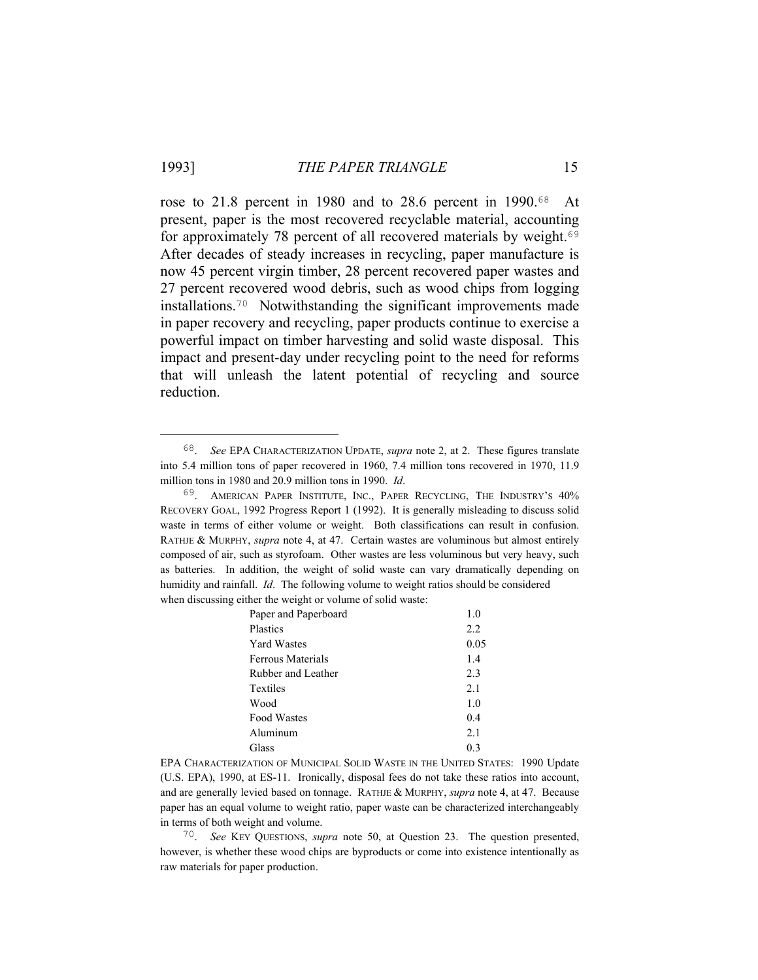rose to 21.8 percent in 1980 and to 28.6 percent in 1990.68 At present, paper is the most recovered recyclable material, accounting for approximately 78 percent of all recovered materials by weight.<sup>69</sup> After decades of steady increases in recycling, paper manufacture is now 45 percent virgin timber, 28 percent recovered paper wastes and 27 percent recovered wood debris, such as wood chips from logging installations.70 Notwithstanding the significant improvements made in paper recovery and recycling, paper products continue to exercise a powerful impact on timber harvesting and solid waste disposal. This impact and present-day under recycling point to the need for reforms that will unleash the latent potential of recycling and source reduction.

<sup>69</sup>. AMERICAN PAPER INSTITUTE, INC., PAPER RECYCLING, THE INDUSTRY'S 40% RECOVERY GOAL, 1992 Progress Report 1 (1992). It is generally misleading to discuss solid waste in terms of either volume or weight. Both classifications can result in confusion. RATHJE & MURPHY, *supra* note 4, at 47. Certain wastes are voluminous but almost entirely composed of air, such as styrofoam. Other wastes are less voluminous but very heavy, such as batteries. In addition, the weight of solid waste can vary dramatically depending on humidity and rainfall. *Id*. The following volume to weight ratios should be considered when discussing either the weight or volume of solid waste:

| Paper and Paperboard | 1.0  |
|----------------------|------|
| Plastics             | 2.2  |
| <b>Yard Wastes</b>   | 0.05 |
| Ferrous Materials    | 1.4  |
| Rubber and Leather   | 2.3  |
| Textiles             | 2.1  |
| Wood                 | 1.0  |
| <b>Food Wastes</b>   | 0.4  |
| Aluminum             | 2.1  |
| Glass                | 0.3  |

EPA CHARACTERIZATION OF MUNICIPAL SOLID WASTE IN THE UNITED STATES: 1990 Update (U.S. EPA), 1990, at ES-11. Ironically, disposal fees do not take these ratios into account, and are generally levied based on tonnage. RATHJE & MURPHY, *supra* note 4, at 47. Because paper has an equal volume to weight ratio, paper waste can be characterized interchangeably in terms of both weight and volume.

70. *See* KEY QUESTIONS, *supra* note 50, at Question 23. The question presented, however, is whether these wood chips are byproducts or come into existence intentionally as raw materials for paper production.

 <sup>68</sup>. *See* EPA CHARACTERIZATION UPDATE, *supra* note 2, at 2. These figures translate into 5.4 million tons of paper recovered in 1960, 7.4 million tons recovered in 1970, 11.9 million tons in 1980 and 20.9 million tons in 1990. *Id*.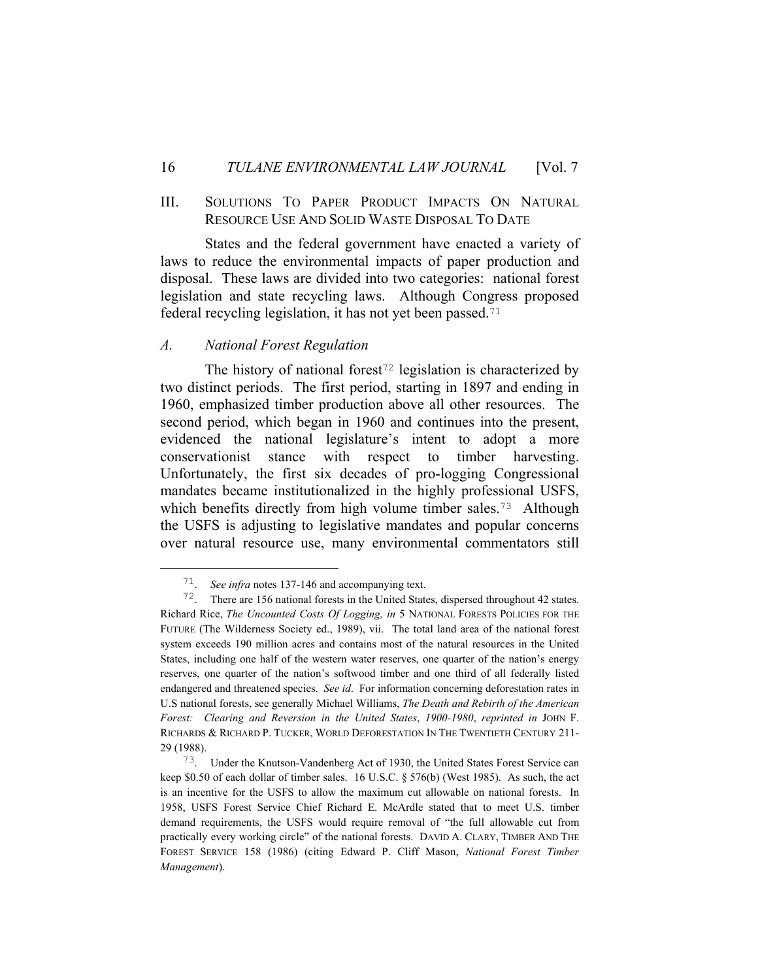# III. SOLUTIONS TO PAPER PRODUCT IMPACTS ON NATURAL RESOURCE USE AND SOLID WASTE DISPOSAL TO DATE

 States and the federal government have enacted a variety of laws to reduce the environmental impacts of paper production and disposal. These laws are divided into two categories: national forest legislation and state recycling laws. Although Congress proposed federal recycling legislation, it has not yet been passed.<sup>71</sup>

#### *A. National Forest Regulation*

The history of national forest<sup>72</sup> legislation is characterized by two distinct periods. The first period, starting in 1897 and ending in 1960, emphasized timber production above all other resources. The second period, which began in 1960 and continues into the present, evidenced the national legislature's intent to adopt a more conservationist stance with respect to timber harvesting. Unfortunately, the first six decades of pro-logging Congressional mandates became institutionalized in the highly professional USFS, which benefits directly from high volume timber sales.<sup>73</sup> Although the USFS is adjusting to legislative mandates and popular concerns over natural resource use, many environmental commentators still

 <sup>71</sup>. *See infra* notes 137-146 and accompanying text.

<sup>72</sup>. There are 156 national forests in the United States, dispersed throughout 42 states. Richard Rice, *The Uncounted Costs Of Logging, in* 5 NATIONAL FORESTS POLICIES FOR THE FUTURE (The Wilderness Society ed., 1989), vii. The total land area of the national forest system exceeds 190 million acres and contains most of the natural resources in the United States, including one half of the western water reserves, one quarter of the nation's energy reserves, one quarter of the nation's softwood timber and one third of all federally listed endangered and threatened species. *See id*. For information concerning deforestation rates in U.S national forests, see generally Michael Williams, *The Death and Rebirth of the American Forest: Clearing and Reversion in the United States*, *1900-1980*, *reprinted in* JOHN F. RICHARDS & RICHARD P. TUCKER, WORLD DEFORESTATION IN THE TWENTIETH CENTURY 211- 29 (1988).

<sup>73</sup>. Under the Knutson-Vandenberg Act of 1930, the United States Forest Service can keep \$0.50 of each dollar of timber sales. 16 U.S.C. § 576(b) (West 1985). As such, the act is an incentive for the USFS to allow the maximum cut allowable on national forests. In 1958, USFS Forest Service Chief Richard E. McArdle stated that to meet U.S. timber demand requirements, the USFS would require removal of "the full allowable cut from practically every working circle" of the national forests. DAVID A. CLARY, TIMBER AND THE FOREST SERVICE 158 (1986) (citing Edward P. Cliff Mason, *National Forest Timber Management*).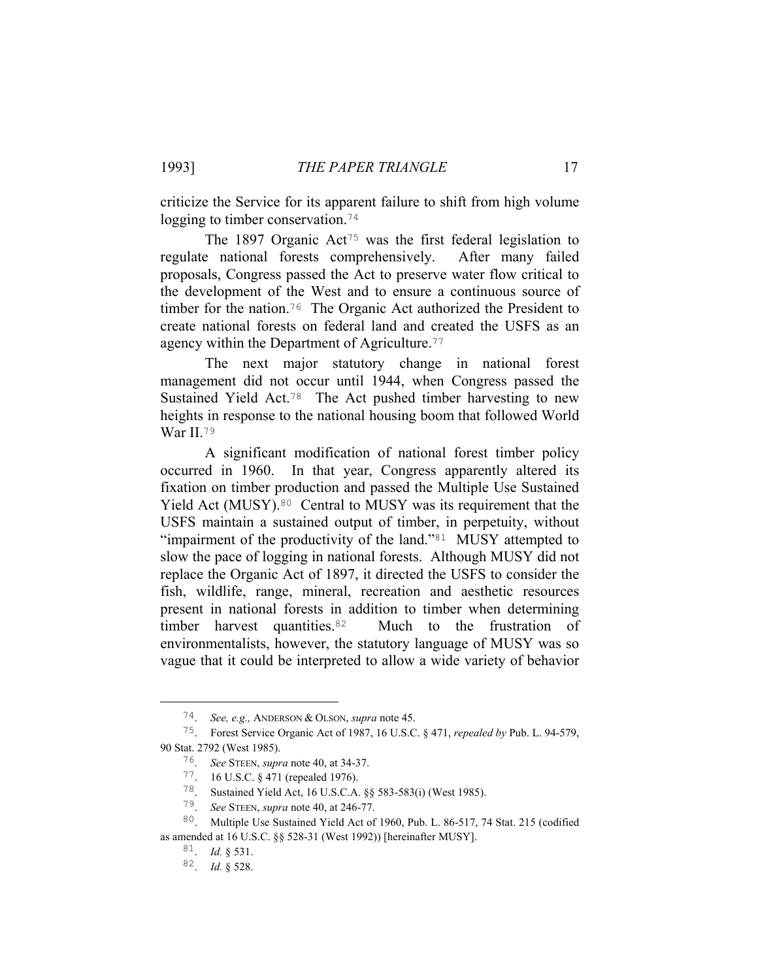criticize the Service for its apparent failure to shift from high volume logging to timber conservation.<sup>74</sup>

The 1897 Organic Act<sup>75</sup> was the first federal legislation to regulate national forests comprehensively. After many failed proposals, Congress passed the Act to preserve water flow critical to the development of the West and to ensure a continuous source of timber for the nation.<sup>76</sup> The Organic Act authorized the President to create national forests on federal land and created the USFS as an agency within the Department of Agriculture.<sup>77</sup>

 The next major statutory change in national forest management did not occur until 1944, when Congress passed the Sustained Yield Act.78 The Act pushed timber harvesting to new heights in response to the national housing boom that followed World War II.79

 A significant modification of national forest timber policy occurred in 1960. In that year, Congress apparently altered its fixation on timber production and passed the Multiple Use Sustained Yield Act (MUSY).<sup>80</sup> Central to MUSY was its requirement that the USFS maintain a sustained output of timber, in perpetuity, without "impairment of the productivity of the land."<sup>81</sup> MUSY attempted to slow the pace of logging in national forests. Although MUSY did not replace the Organic Act of 1897, it directed the USFS to consider the fish, wildlife, range, mineral, recreation and aesthetic resources present in national forests in addition to timber when determining timber harvest quantities.<sup>82</sup> Much to the frustration of environmentalists, however, the statutory language of MUSY was so vague that it could be interpreted to allow a wide variety of behavior

 <sup>74</sup>. *See, e.g.,* ANDERSON & OLSON, *supra* note 45.

<sup>75</sup>. Forest Service Organic Act of 1987, 16 U.S.C. § 471, *repealed by* Pub. L. 94-579, 90 Stat. 2792 (West 1985).

<sup>76</sup>. *See* STEEN, *supra* note 40, at 34-37.

<sup>77</sup>. 16 U.S.C. § 471 (repealed 1976).

<sup>78</sup>. Sustained Yield Act, 16 U.S.C.A. §§ 583-583(i) (West 1985).

<sup>79</sup>. *See* STEEN, *supra* note 40, at 246-77.

<sup>80</sup>. Multiple Use Sustained Yield Act of 1960, Pub. L. 86-517, 74 Stat. 215 (codified as amended at 16 U.S.C. §§ 528-31 (West 1992)) [hereinafter MUSY].

<sup>81</sup>. *Id.* § 531.

<sup>82</sup>. *Id.* § 528.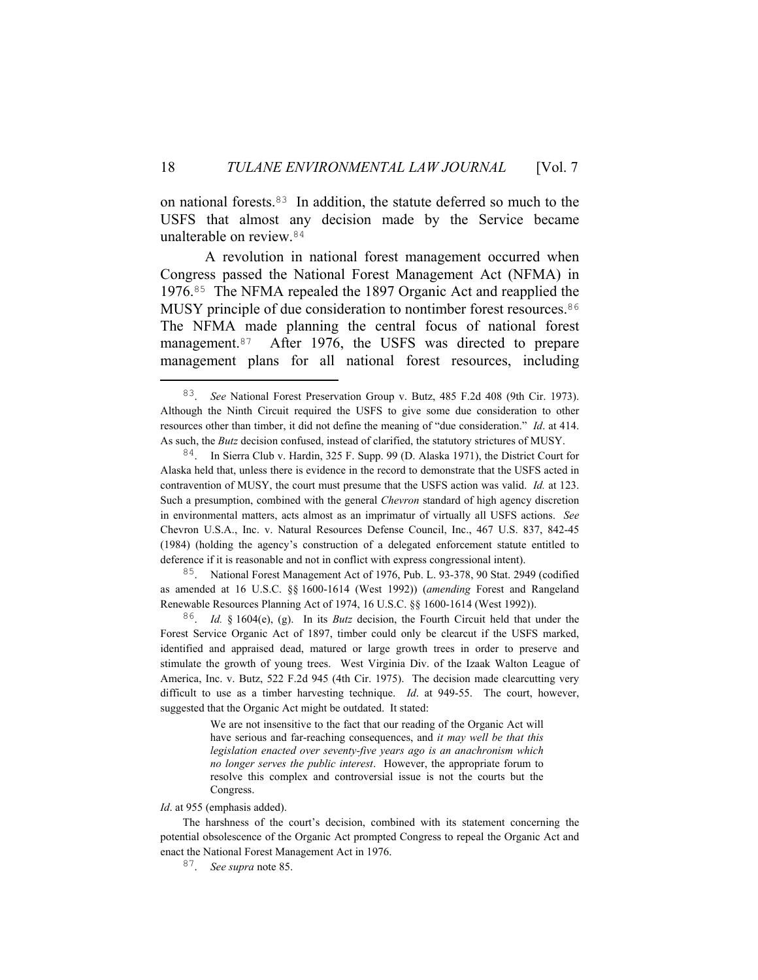on national forests.83 In addition, the statute deferred so much to the USFS that almost any decision made by the Service became unalterable on review.<sup>84</sup>

 A revolution in national forest management occurred when Congress passed the National Forest Management Act (NFMA) in 1976.85 The NFMA repealed the 1897 Organic Act and reapplied the MUSY principle of due consideration to nontimber forest resources.<sup>86</sup> The NFMA made planning the central focus of national forest management.87 After 1976, the USFS was directed to prepare management plans for all national forest resources, including

85. National Forest Management Act of 1976, Pub. L. 93-378, 90 Stat. 2949 (codified as amended at 16 U.S.C. §§ 1600-1614 (West 1992)) (*amending* Forest and Rangeland Renewable Resources Planning Act of 1974, 16 U.S.C. §§ 1600-1614 (West 1992)).

86. *Id.* § 1604(e), (g). In its *Butz* decision, the Fourth Circuit held that under the Forest Service Organic Act of 1897, timber could only be clearcut if the USFS marked, identified and appraised dead, matured or large growth trees in order to preserve and stimulate the growth of young trees. West Virginia Div. of the Izaak Walton League of America, Inc. v. Butz, 522 F.2d 945 (4th Cir. 1975). The decision made clearcutting very difficult to use as a timber harvesting technique. *Id*. at 949-55. The court, however, suggested that the Organic Act might be outdated. It stated:

> We are not insensitive to the fact that our reading of the Organic Act will have serious and far-reaching consequences, and *it may well be that this legislation enacted over seventy-five years ago is an anachronism which no longer serves the public interest*. However, the appropriate forum to resolve this complex and controversial issue is not the courts but the Congress.

*Id*. at 955 (emphasis added).

 The harshness of the court's decision, combined with its statement concerning the potential obsolescence of the Organic Act prompted Congress to repeal the Organic Act and enact the National Forest Management Act in 1976.

87. *See supra* note 85.

 <sup>83</sup>. *See* National Forest Preservation Group v. Butz, 485 F.2d 408 (9th Cir. 1973). Although the Ninth Circuit required the USFS to give some due consideration to other resources other than timber, it did not define the meaning of "due consideration." *Id*. at 414. As such, the *Butz* decision confused, instead of clarified, the statutory strictures of MUSY.

<sup>84</sup>. In Sierra Club v. Hardin, 325 F. Supp. 99 (D. Alaska 1971), the District Court for Alaska held that, unless there is evidence in the record to demonstrate that the USFS acted in contravention of MUSY, the court must presume that the USFS action was valid. *Id.* at 123. Such a presumption, combined with the general *Chevron* standard of high agency discretion in environmental matters, acts almost as an imprimatur of virtually all USFS actions. *See* Chevron U.S.A., Inc. v. Natural Resources Defense Council, Inc., 467 U.S. 837, 842-45 (1984) (holding the agency's construction of a delegated enforcement statute entitled to deference if it is reasonable and not in conflict with express congressional intent).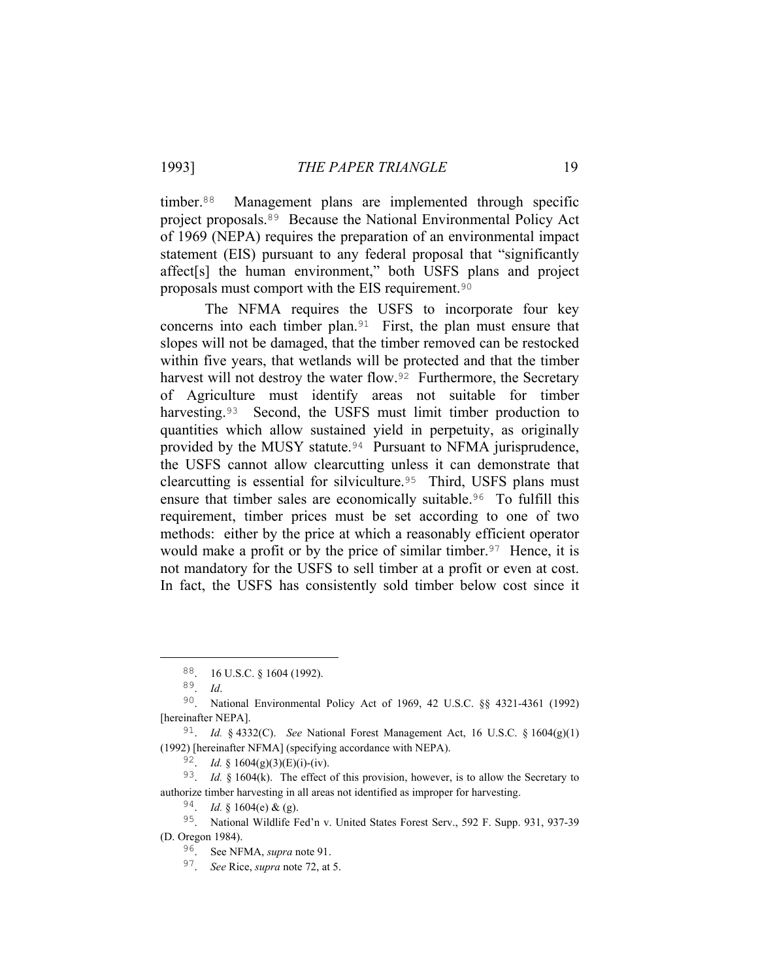timber.88 Management plans are implemented through specific project proposals.89 Because the National Environmental Policy Act of 1969 (NEPA) requires the preparation of an environmental impact statement (EIS) pursuant to any federal proposal that "significantly affect[s] the human environment," both USFS plans and project proposals must comport with the EIS requirement.<sup>90</sup>

 The NFMA requires the USFS to incorporate four key concerns into each timber plan.91 First, the plan must ensure that slopes will not be damaged, that the timber removed can be restocked within five years, that wetlands will be protected and that the timber harvest will not destroy the water flow.<sup>92</sup> Furthermore, the Secretary of Agriculture must identify areas not suitable for timber harvesting.<sup>93</sup> Second, the USFS must limit timber production to quantities which allow sustained yield in perpetuity, as originally provided by the MUSY statute.<sup>94</sup> Pursuant to NFMA jurisprudence, the USFS cannot allow clearcutting unless it can demonstrate that clearcutting is essential for silviculture.95 Third, USFS plans must ensure that timber sales are economically suitable.96 To fulfill this requirement, timber prices must be set according to one of two methods: either by the price at which a reasonably efficient operator would make a profit or by the price of similar timber.<sup>97</sup> Hence, it is not mandatory for the USFS to sell timber at a profit or even at cost. In fact, the USFS has consistently sold timber below cost since it

 $94.$  *Id.* § 1604(e) & (g).

 <sup>88</sup>. 16 U.S.C. § 1604 (1992).

<sup>89</sup>. *Id*.

<sup>90</sup>. National Environmental Policy Act of 1969, 42 U.S.C. §§ 4321-4361 (1992) [hereinafter NEPA].

<sup>91</sup>. *Id.* § 4332(C). *See* National Forest Management Act, 16 U.S.C. § 1604(g)(1) (1992) [hereinafter NFMA] (specifying accordance with NEPA).

<sup>92</sup>. *Id.* § 1604(g)(3)(E)(i)-(iv).

<sup>93</sup>. *Id.* § 1604(k). The effect of this provision, however, is to allow the Secretary to authorize timber harvesting in all areas not identified as improper for harvesting.

<sup>95</sup>. National Wildlife Fed'n v. United States Forest Serv., 592 F. Supp. 931, 937-39 (D. Oregon 1984).

<sup>96</sup>. See NFMA, *supra* note 91.

<sup>97</sup>. *See* Rice, *supra* note 72, at 5.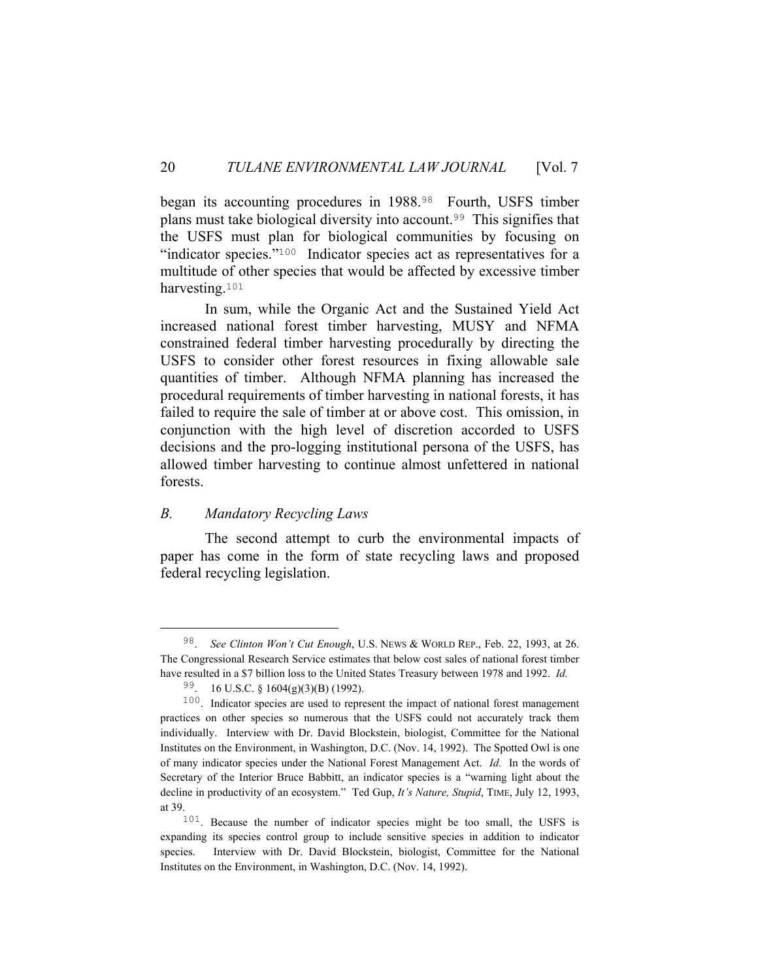began its accounting procedures in 1988.<sup>98</sup> Fourth, USFS timber plans must take biological diversity into account.99 This signifies that the USFS must plan for biological communities by focusing on "indicator species."100 Indicator species act as representatives for a multitude of other species that would be affected by excessive timber harvesting.<sup>101</sup>

 In sum, while the Organic Act and the Sustained Yield Act increased national forest timber harvesting, MUSY and NFMA constrained federal timber harvesting procedurally by directing the USFS to consider other forest resources in fixing allowable sale quantities of timber. Although NFMA planning has increased the procedural requirements of timber harvesting in national forests, it has failed to require the sale of timber at or above cost. This omission, in conjunction with the high level of discretion accorded to USFS decisions and the pro-logging institutional persona of the USFS, has allowed timber harvesting to continue almost unfettered in national forests.

# *B. Mandatory Recycling Laws*

 The second attempt to curb the environmental impacts of paper has come in the form of state recycling laws and proposed federal recycling legislation.

 <sup>98</sup>. *See Clinton Won't Cut Enough*, U.S. NEWS & WORLD REP., Feb. 22, 1993, at 26. The Congressional Research Service estimates that below cost sales of national forest timber have resulted in a \$7 billion loss to the United States Treasury between 1978 and 1992. *Id.*

<sup>99</sup>. 16 U.S.C. § 1604(g)(3)(B) (1992).

<sup>100</sup>. Indicator species are used to represent the impact of national forest management practices on other species so numerous that the USFS could not accurately track them individually. Interview with Dr. David Blockstein, biologist, Committee for the National Institutes on the Environment, in Washington, D.C. (Nov. 14, 1992). The Spotted Owl is one of many indicator species under the National Forest Management Act. *Id.* In the words of Secretary of the Interior Bruce Babbitt, an indicator species is a "warning light about the decline in productivity of an ecosystem." Ted Gup, *It's Nature, Stupid*, TIME, July 12, 1993, at 39.

<sup>101</sup>. Because the number of indicator species might be too small, the USFS is expanding its species control group to include sensitive species in addition to indicator species. Interview with Dr. David Blockstein, biologist, Committee for the National Institutes on the Environment, in Washington, D.C. (Nov. 14, 1992).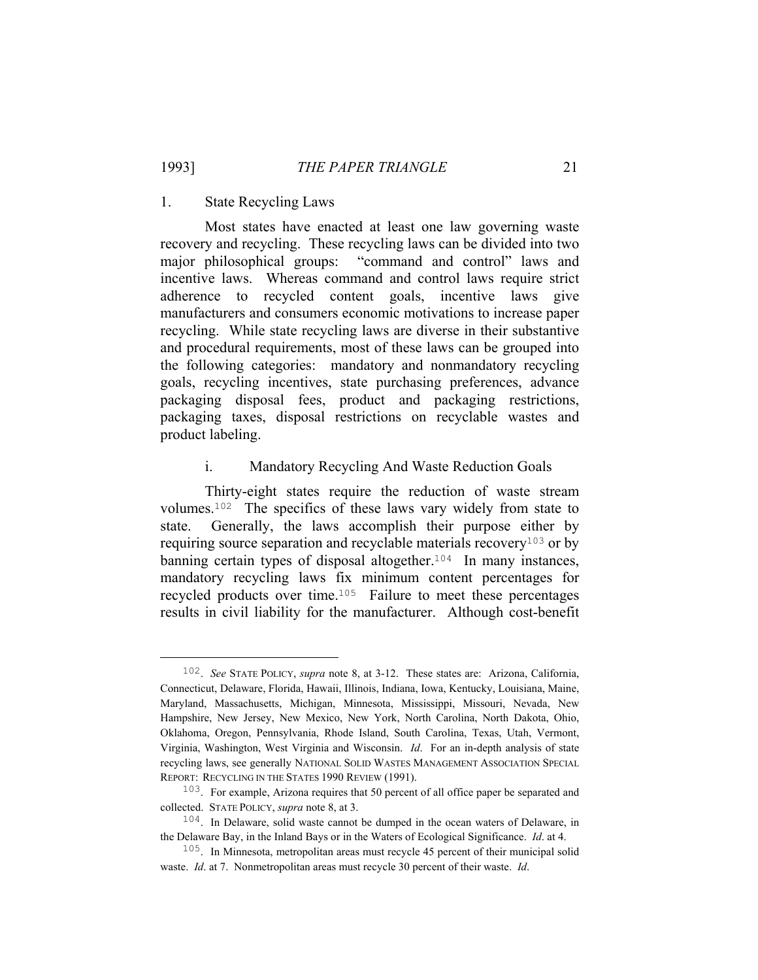#### 1. State Recycling Laws

 Most states have enacted at least one law governing waste recovery and recycling. These recycling laws can be divided into two major philosophical groups: "command and control" laws and incentive laws. Whereas command and control laws require strict adherence to recycled content goals, incentive laws give manufacturers and consumers economic motivations to increase paper recycling. While state recycling laws are diverse in their substantive and procedural requirements, most of these laws can be grouped into the following categories: mandatory and nonmandatory recycling goals, recycling incentives, state purchasing preferences, advance packaging disposal fees, product and packaging restrictions, packaging taxes, disposal restrictions on recyclable wastes and product labeling.

#### i. Mandatory Recycling And Waste Reduction Goals

 Thirty-eight states require the reduction of waste stream volumes.102 The specifics of these laws vary widely from state to state. Generally, the laws accomplish their purpose either by requiring source separation and recyclable materials recovery<sup>103</sup> or by banning certain types of disposal altogether.<sup>104</sup> In many instances, mandatory recycling laws fix minimum content percentages for recycled products over time.105 Failure to meet these percentages results in civil liability for the manufacturer. Although cost-benefit

 <sup>102</sup>. *See* STATE POLICY, *supra* note 8, at 3-12. These states are: Arizona, California, Connecticut, Delaware, Florida, Hawaii, Illinois, Indiana, Iowa, Kentucky, Louisiana, Maine, Maryland, Massachusetts, Michigan, Minnesota, Mississippi, Missouri, Nevada, New Hampshire, New Jersey, New Mexico, New York, North Carolina, North Dakota, Ohio, Oklahoma, Oregon, Pennsylvania, Rhode Island, South Carolina, Texas, Utah, Vermont, Virginia, Washington, West Virginia and Wisconsin. *Id*. For an in-depth analysis of state recycling laws, see generally NATIONAL SOLID WASTES MANAGEMENT ASSOCIATION SPECIAL REPORT: RECYCLING IN THE STATES 1990 REVIEW (1991).

<sup>103</sup>. For example, Arizona requires that 50 percent of all office paper be separated and collected. STATE POLICY, *supra* note 8, at 3.

<sup>104</sup>. In Delaware, solid waste cannot be dumped in the ocean waters of Delaware, in the Delaware Bay, in the Inland Bays or in the Waters of Ecological Significance. *Id*. at 4.

<sup>105</sup>. In Minnesota, metropolitan areas must recycle 45 percent of their municipal solid waste. *Id*. at 7. Nonmetropolitan areas must recycle 30 percent of their waste. *Id*.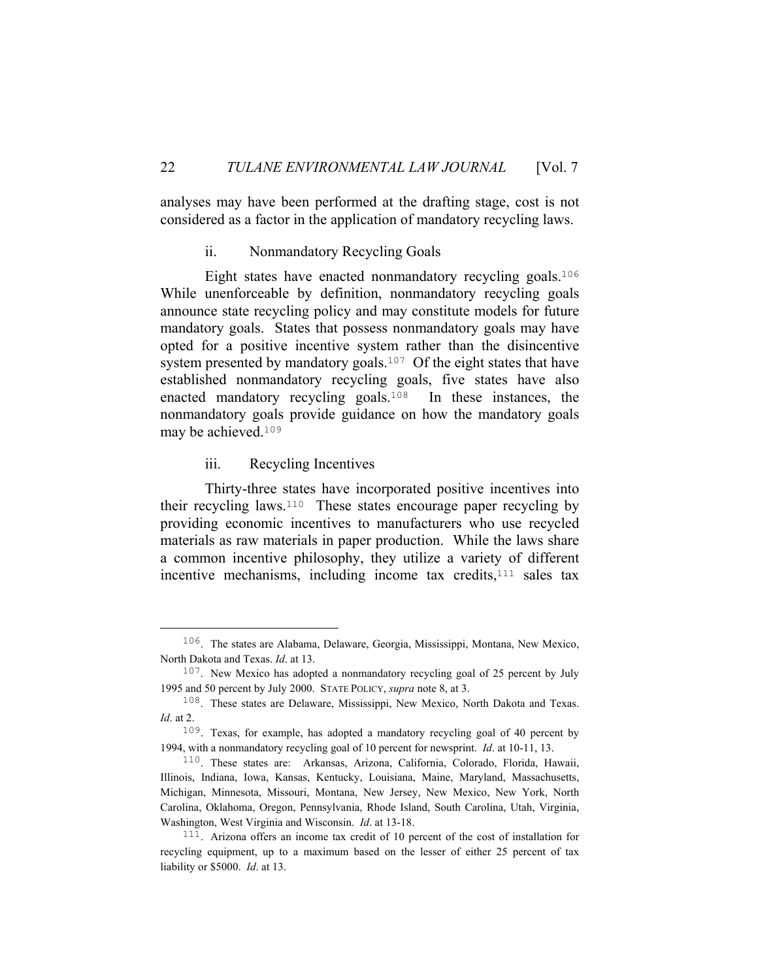analyses may have been performed at the drafting stage, cost is not considered as a factor in the application of mandatory recycling laws.

#### ii. Nonmandatory Recycling Goals

 Eight states have enacted nonmandatory recycling goals.<sup>106</sup> While unenforceable by definition, nonmandatory recycling goals announce state recycling policy and may constitute models for future mandatory goals. States that possess nonmandatory goals may have opted for a positive incentive system rather than the disincentive system presented by mandatory goals.<sup>107</sup> Of the eight states that have established nonmandatory recycling goals, five states have also enacted mandatory recycling goals.108 In these instances, the nonmandatory goals provide guidance on how the mandatory goals may be achieved.<sup>109</sup>

# iii. Recycling Incentives

 Thirty-three states have incorporated positive incentives into their recycling laws.110 These states encourage paper recycling by providing economic incentives to manufacturers who use recycled materials as raw materials in paper production. While the laws share a common incentive philosophy, they utilize a variety of different incentive mechanisms, including income tax credits,<sup>111</sup> sales tax

 <sup>106</sup>. The states are Alabama, Delaware, Georgia, Mississippi, Montana, New Mexico, North Dakota and Texas. *Id*. at 13.

<sup>&</sup>lt;sup>107</sup>. New Mexico has adopted a nonmandatory recycling goal of 25 percent by July 1995 and 50 percent by July 2000. STATE POLICY, *supra* note 8, at 3.

<sup>108</sup>. These states are Delaware, Mississippi, New Mexico, North Dakota and Texas. *Id*. at 2.

<sup>109</sup>. Texas, for example, has adopted a mandatory recycling goal of 40 percent by 1994, with a nonmandatory recycling goal of 10 percent for newsprint. *Id*. at 10-11, 13.

<sup>110</sup>. These states are: Arkansas, Arizona, California, Colorado, Florida, Hawaii, Illinois, Indiana, Iowa, Kansas, Kentucky, Louisiana, Maine, Maryland, Massachusetts, Michigan, Minnesota, Missouri, Montana, New Jersey, New Mexico, New York, North Carolina, Oklahoma, Oregon, Pennsylvania, Rhode Island, South Carolina, Utah, Virginia, Washington, West Virginia and Wisconsin. *Id*. at 13-18.

<sup>111</sup>. Arizona offers an income tax credit of 10 percent of the cost of installation for recycling equipment, up to a maximum based on the lesser of either 25 percent of tax liability or \$5000. *Id*. at 13.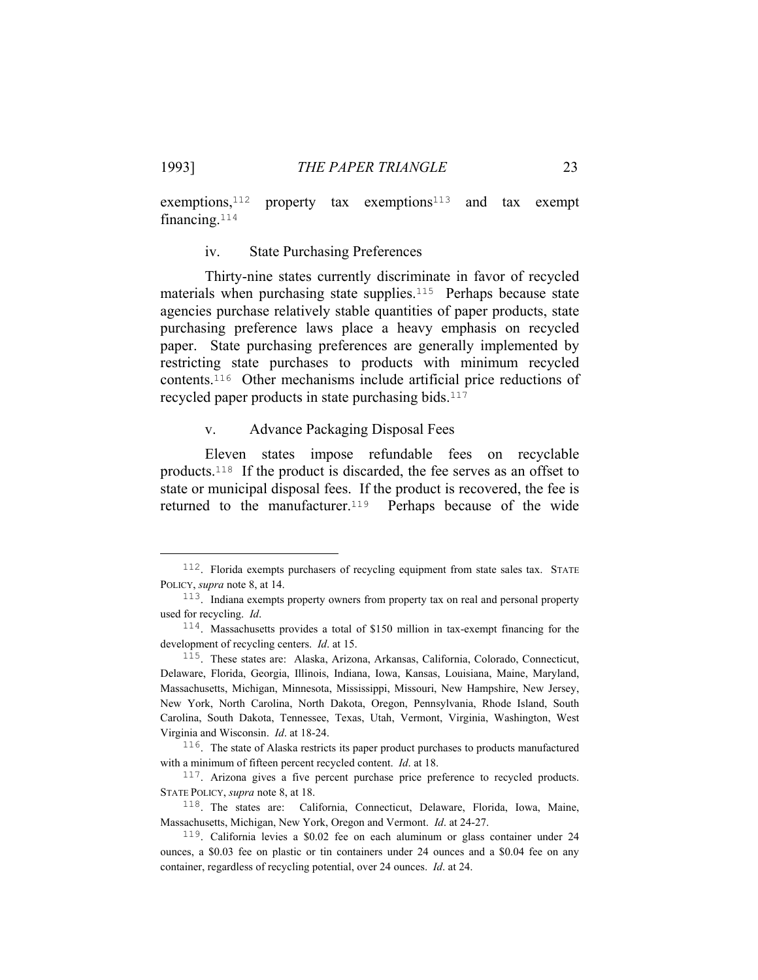exemptions,<sup>112</sup> property tax exemptions<sup>113</sup> and tax exempt financing.<sup>114</sup>

iv. State Purchasing Preferences

 Thirty-nine states currently discriminate in favor of recycled materials when purchasing state supplies.<sup>115</sup> Perhaps because state agencies purchase relatively stable quantities of paper products, state purchasing preference laws place a heavy emphasis on recycled paper. State purchasing preferences are generally implemented by restricting state purchases to products with minimum recycled contents.116 Other mechanisms include artificial price reductions of recycled paper products in state purchasing bids.<sup>117</sup>

#### v. Advance Packaging Disposal Fees

 Eleven states impose refundable fees on recyclable products.118 If the product is discarded, the fee serves as an offset to state or municipal disposal fees. If the product is recovered, the fee is returned to the manufacturer.<sup>119</sup> Perhaps because of the wide

 <sup>112</sup>. Florida exempts purchasers of recycling equipment from state sales tax. STATE POLICY, *supra* note 8, at 14.

<sup>113</sup>. Indiana exempts property owners from property tax on real and personal property used for recycling. *Id*.

<sup>114</sup>. Massachusetts provides a total of \$150 million in tax-exempt financing for the development of recycling centers. *Id*. at 15.

<sup>115</sup>. These states are: Alaska, Arizona, Arkansas, California, Colorado, Connecticut, Delaware, Florida, Georgia, Illinois, Indiana, Iowa, Kansas, Louisiana, Maine, Maryland, Massachusetts, Michigan, Minnesota, Mississippi, Missouri, New Hampshire, New Jersey, New York, North Carolina, North Dakota, Oregon, Pennsylvania, Rhode Island, South Carolina, South Dakota, Tennessee, Texas, Utah, Vermont, Virginia, Washington, West Virginia and Wisconsin. *Id*. at 18-24.

 $116$ . The state of Alaska restricts its paper product purchases to products manufactured with a minimum of fifteen percent recycled content. *Id*. at 18.

<sup>&</sup>lt;sup>117</sup>. Arizona gives a five percent purchase price preference to recycled products. STATE POLICY, *supra* note 8, at 18.

<sup>118</sup>. The states are: California, Connecticut, Delaware, Florida, Iowa, Maine, Massachusetts, Michigan, New York, Oregon and Vermont. *Id*. at 24-27.

<sup>119</sup>. California levies a \$0.02 fee on each aluminum or glass container under 24 ounces, a \$0.03 fee on plastic or tin containers under 24 ounces and a \$0.04 fee on any container, regardless of recycling potential, over 24 ounces. *Id*. at 24.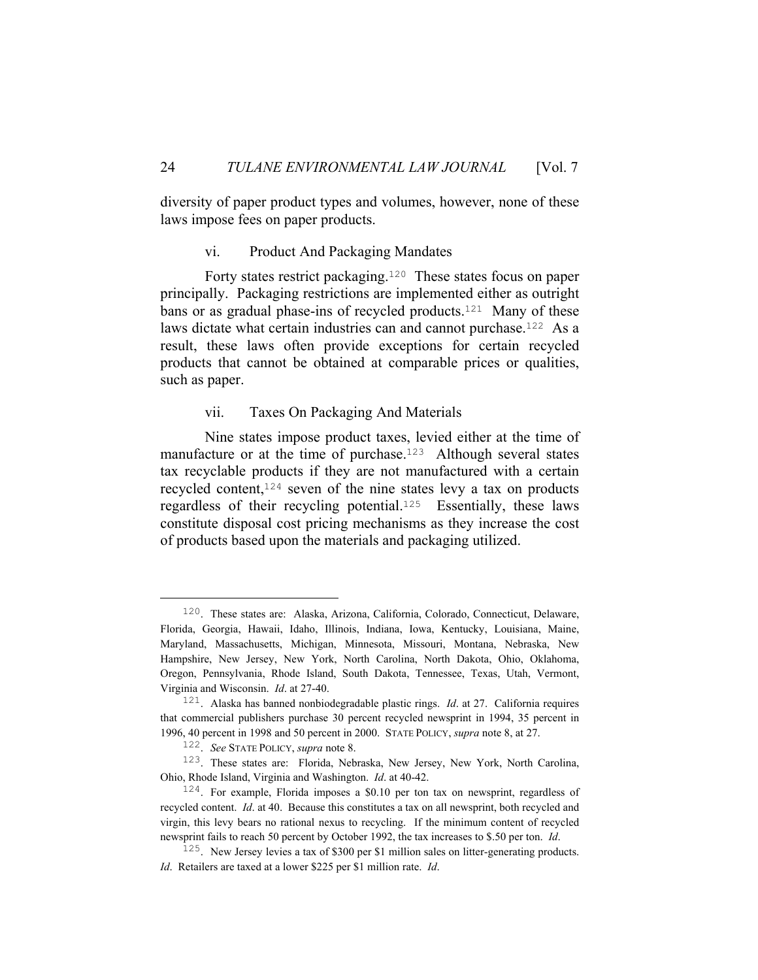diversity of paper product types and volumes, however, none of these laws impose fees on paper products.

vi. Product And Packaging Mandates

 Forty states restrict packaging.120 These states focus on paper principally. Packaging restrictions are implemented either as outright bans or as gradual phase-ins of recycled products.<sup>121</sup> Many of these laws dictate what certain industries can and cannot purchase.<sup>122</sup> As a result, these laws often provide exceptions for certain recycled products that cannot be obtained at comparable prices or qualities, such as paper.

# vii. Taxes On Packaging And Materials

 Nine states impose product taxes, levied either at the time of manufacture or at the time of purchase.<sup>123</sup> Although several states tax recyclable products if they are not manufactured with a certain recycled content,124 seven of the nine states levy a tax on products regardless of their recycling potential.125 Essentially, these laws constitute disposal cost pricing mechanisms as they increase the cost of products based upon the materials and packaging utilized.

 <sup>120</sup>. These states are: Alaska, Arizona, California, Colorado, Connecticut, Delaware, Florida, Georgia, Hawaii, Idaho, Illinois, Indiana, Iowa, Kentucky, Louisiana, Maine, Maryland, Massachusetts, Michigan, Minnesota, Missouri, Montana, Nebraska, New Hampshire, New Jersey, New York, North Carolina, North Dakota, Ohio, Oklahoma, Oregon, Pennsylvania, Rhode Island, South Dakota, Tennessee, Texas, Utah, Vermont, Virginia and Wisconsin. *Id*. at 27-40.

<sup>121</sup>. Alaska has banned nonbiodegradable plastic rings. *Id*. at 27. California requires that commercial publishers purchase 30 percent recycled newsprint in 1994, 35 percent in 1996, 40 percent in 1998 and 50 percent in 2000. STATE POLICY, *supra* note 8, at 27.

<sup>122</sup>. *See* STATE POLICY, *supra* note 8.

<sup>123</sup>. These states are: Florida, Nebraska, New Jersey, New York, North Carolina, Ohio, Rhode Island, Virginia and Washington. *Id*. at 40-42.

<sup>124</sup>. For example, Florida imposes a \$0.10 per ton tax on newsprint, regardless of recycled content. *Id*. at 40. Because this constitutes a tax on all newsprint, both recycled and virgin, this levy bears no rational nexus to recycling. If the minimum content of recycled newsprint fails to reach 50 percent by October 1992, the tax increases to \$.50 per ton. *Id*.

 $125$ . New Jersey levies a tax of \$300 per \$1 million sales on litter-generating products. *Id*. Retailers are taxed at a lower \$225 per \$1 million rate. *Id*.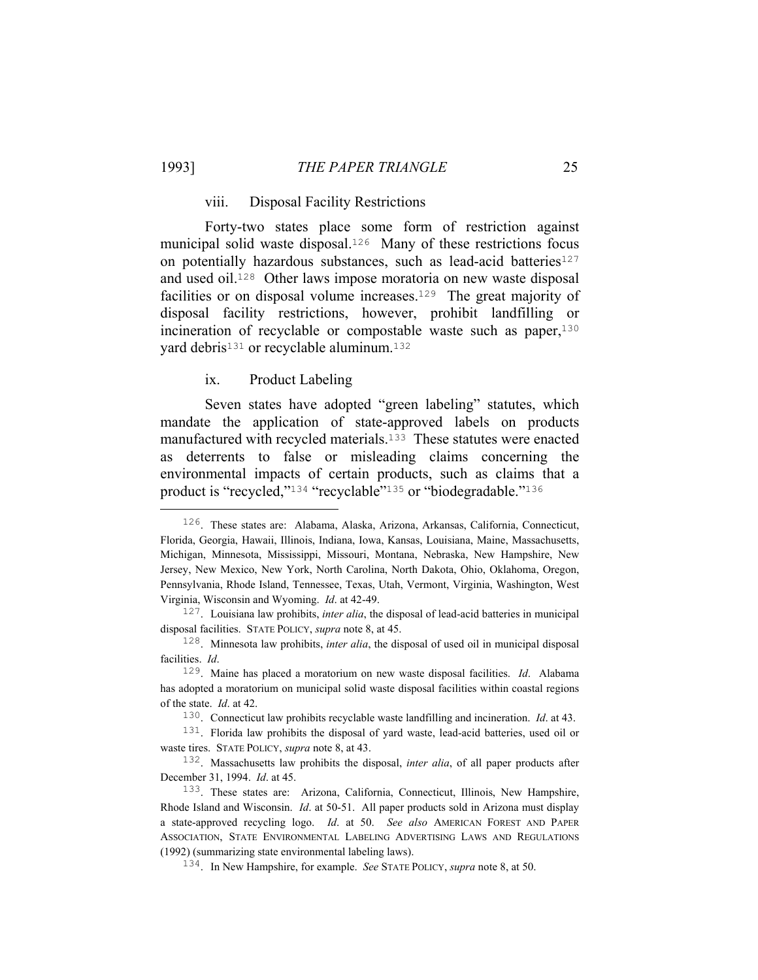#### viii. Disposal Facility Restrictions

 Forty-two states place some form of restriction against municipal solid waste disposal.<sup>126</sup> Many of these restrictions focus on potentially hazardous substances, such as lead-acid batteries<sup>127</sup> and used oil.128 Other laws impose moratoria on new waste disposal facilities or on disposal volume increases.<sup>129</sup> The great majority of disposal facility restrictions, however, prohibit landfilling or incineration of recyclable or compostable waste such as paper,<sup>130</sup> yard debris<sup>131</sup> or recyclable aluminum.<sup>132</sup>

# ix. Product Labeling

 Seven states have adopted "green labeling" statutes, which mandate the application of state-approved labels on products manufactured with recycled materials.<sup>133</sup> These statutes were enacted as deterrents to false or misleading claims concerning the environmental impacts of certain products, such as claims that a product is "recycled,"<sup>134</sup> "recyclable"<sup>135</sup> or "biodegradable."<sup>136</sup>

 <sup>126</sup>. These states are: Alabama, Alaska, Arizona, Arkansas, California, Connecticut, Florida, Georgia, Hawaii, Illinois, Indiana, Iowa, Kansas, Louisiana, Maine, Massachusetts, Michigan, Minnesota, Mississippi, Missouri, Montana, Nebraska, New Hampshire, New Jersey, New Mexico, New York, North Carolina, North Dakota, Ohio, Oklahoma, Oregon, Pennsylvania, Rhode Island, Tennessee, Texas, Utah, Vermont, Virginia, Washington, West Virginia, Wisconsin and Wyoming. *Id*. at 42-49.

<sup>127</sup>. Louisiana law prohibits, *inter alia*, the disposal of lead-acid batteries in municipal disposal facilities. STATE POLICY, *supra* note 8, at 45.

<sup>128</sup>. Minnesota law prohibits, *inter alia*, the disposal of used oil in municipal disposal facilities. *Id*.

<sup>129</sup>. Maine has placed a moratorium on new waste disposal facilities. *Id*. Alabama has adopted a moratorium on municipal solid waste disposal facilities within coastal regions of the state. *Id*. at 42.

<sup>130</sup>. Connecticut law prohibits recyclable waste landfilling and incineration. *Id*. at 43.

<sup>131</sup>. Florida law prohibits the disposal of yard waste, lead-acid batteries, used oil or waste tires. STATE POLICY, *supra* note 8, at 43.

<sup>132</sup>. Massachusetts law prohibits the disposal, *inter alia*, of all paper products after December 31, 1994. *Id*. at 45.

<sup>133</sup>. These states are: Arizona, California, Connecticut, Illinois, New Hampshire, Rhode Island and Wisconsin. *Id*. at 50-51. All paper products sold in Arizona must display a state-approved recycling logo. *Id*. at 50. *See also* AMERICAN FOREST AND PAPER ASSOCIATION, STATE ENVIRONMENTAL LABELING ADVERTISING LAWS AND REGULATIONS (1992) (summarizing state environmental labeling laws).

<sup>134</sup>. In New Hampshire, for example. *See* STATE POLICY, *supra* note 8, at 50.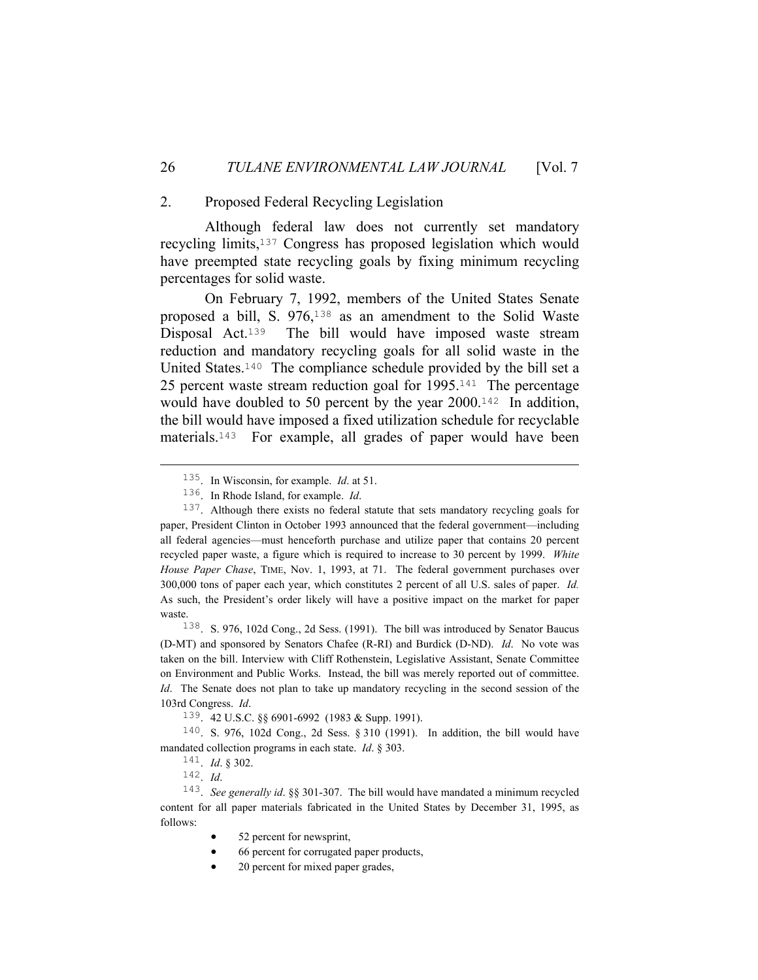# 2. Proposed Federal Recycling Legislation

 Although federal law does not currently set mandatory recycling limits,137 Congress has proposed legislation which would have preempted state recycling goals by fixing minimum recycling percentages for solid waste.

 On February 7, 1992, members of the United States Senate proposed a bill, S. 976,138 as an amendment to the Solid Waste Disposal Act.<sup>139</sup> The bill would have imposed waste stream reduction and mandatory recycling goals for all solid waste in the United States.<sup>140</sup> The compliance schedule provided by the bill set a 25 percent waste stream reduction goal for 1995.141 The percentage would have doubled to 50 percent by the year 2000.<sup>142</sup> In addition, the bill would have imposed a fixed utilization schedule for recyclable materials.143 For example, all grades of paper would have been

139. 42 U.S.C. §§ 6901-6992 (1983 & Supp. 1991).

140. S. 976, 102d Cong., 2d Sess. § 310 (1991). In addition, the bill would have mandated collection programs in each state. *Id*. § 303.

142. *Id*.

- 52 percent for newsprint,
- 66 percent for corrugated paper products,
- 20 percent for mixed paper grades,

 <sup>135</sup>. In Wisconsin, for example. *Id*. at 51.

<sup>136</sup>. In Rhode Island, for example. *Id*.

<sup>137</sup>. Although there exists no federal statute that sets mandatory recycling goals for paper, President Clinton in October 1993 announced that the federal government—including all federal agencies—must henceforth purchase and utilize paper that contains 20 percent recycled paper waste, a figure which is required to increase to 30 percent by 1999. *White House Paper Chase*, TIME, Nov. 1, 1993, at 71. The federal government purchases over 300,000 tons of paper each year, which constitutes 2 percent of all U.S. sales of paper. *Id.* As such, the President's order likely will have a positive impact on the market for paper waste.

<sup>138</sup>. S. 976, 102d Cong., 2d Sess. (1991). The bill was introduced by Senator Baucus (D-MT) and sponsored by Senators Chafee (R-RI) and Burdick (D-ND). *Id*. No vote was taken on the bill. Interview with Cliff Rothenstein, Legislative Assistant, Senate Committee on Environment and Public Works. Instead, the bill was merely reported out of committee. *Id*. The Senate does not plan to take up mandatory recycling in the second session of the 103rd Congress. *Id*.

<sup>141</sup>. *Id*. § 302.

<sup>143</sup>. *See generally id*. §§ 301-307. The bill would have mandated a minimum recycled content for all paper materials fabricated in the United States by December 31, 1995, as follows: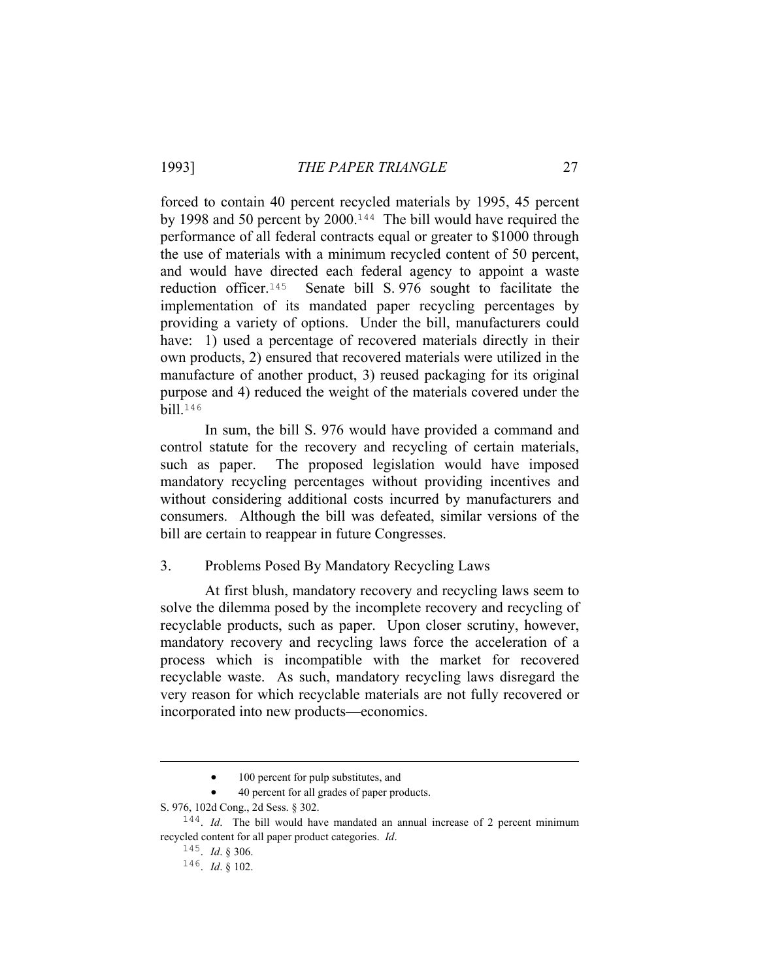#### 1993] *THE PAPER TRIANGLE* 27

forced to contain 40 percent recycled materials by 1995, 45 percent by 1998 and 50 percent by 2000.144 The bill would have required the performance of all federal contracts equal or greater to \$1000 through the use of materials with a minimum recycled content of 50 percent, and would have directed each federal agency to appoint a waste reduction officer.145 Senate bill S. 976 sought to facilitate the implementation of its mandated paper recycling percentages by providing a variety of options. Under the bill, manufacturers could have: 1) used a percentage of recovered materials directly in their own products, 2) ensured that recovered materials were utilized in the manufacture of another product, 3) reused packaging for its original purpose and 4) reduced the weight of the materials covered under the bill.<sup>146</sup>

 In sum, the bill S. 976 would have provided a command and control statute for the recovery and recycling of certain materials, such as paper. The proposed legislation would have imposed mandatory recycling percentages without providing incentives and without considering additional costs incurred by manufacturers and consumers. Although the bill was defeated, similar versions of the bill are certain to reappear in future Congresses.

#### 3. Problems Posed By Mandatory Recycling Laws

 At first blush, mandatory recovery and recycling laws seem to solve the dilemma posed by the incomplete recovery and recycling of recyclable products, such as paper. Upon closer scrutiny, however, mandatory recovery and recycling laws force the acceleration of a process which is incompatible with the market for recovered recyclable waste. As such, mandatory recycling laws disregard the very reason for which recyclable materials are not fully recovered or incorporated into new products—economics.

i<br>Li

 <sup>100</sup> percent for pulp substitutes, and

<sup>• 40</sup> percent for all grades of paper products.

S. 976, 102d Cong., 2d Sess. § 302.

<sup>144</sup>. *Id*. The bill would have mandated an annual increase of 2 percent minimum recycled content for all paper product categories. *Id*.

<sup>145</sup>. *Id*. § 306.

<sup>146</sup>. *Id*. § 102.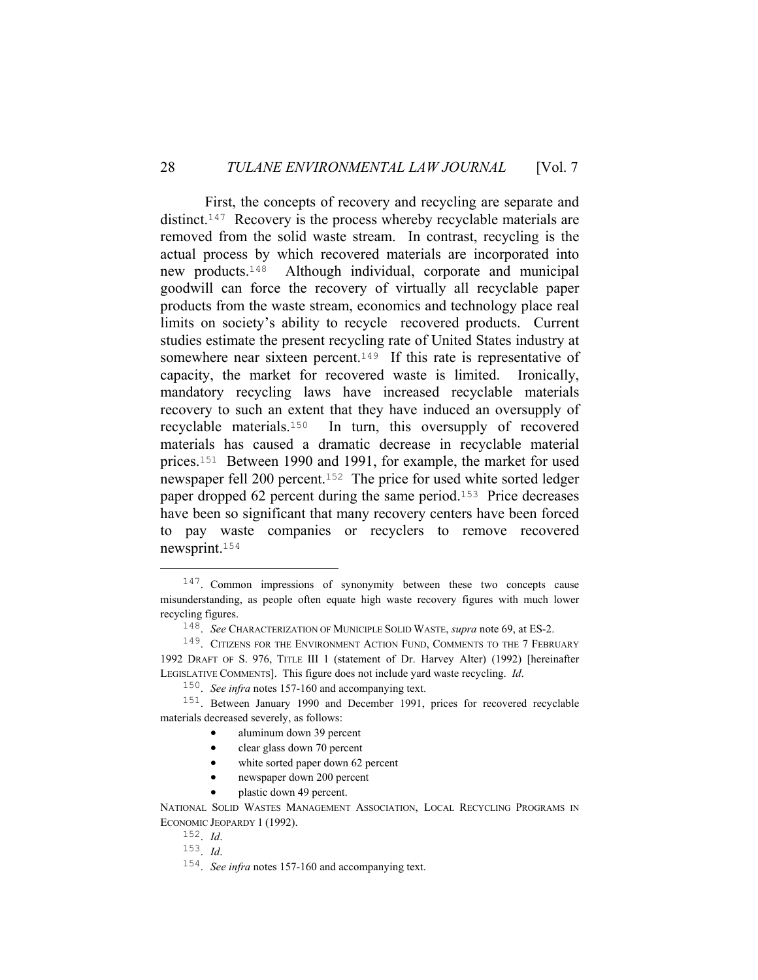First, the concepts of recovery and recycling are separate and distinct.<sup>147</sup> Recovery is the process whereby recyclable materials are removed from the solid waste stream. In contrast, recycling is the actual process by which recovered materials are incorporated into new products.148 Although individual, corporate and municipal goodwill can force the recovery of virtually all recyclable paper products from the waste stream, economics and technology place real limits on society's ability to recycle recovered products. Current studies estimate the present recycling rate of United States industry at somewhere near sixteen percent.<sup>149</sup> If this rate is representative of capacity, the market for recovered waste is limited. Ironically, mandatory recycling laws have increased recyclable materials recovery to such an extent that they have induced an oversupply of recyclable materials.150 In turn, this oversupply of recovered materials has caused a dramatic decrease in recyclable material prices.151 Between 1990 and 1991, for example, the market for used newspaper fell 200 percent.152 The price for used white sorted ledger paper dropped 62 percent during the same period.153 Price decreases have been so significant that many recovery centers have been forced to pay waste companies or recyclers to remove recovered newsprint.<sup>154</sup>

- clear glass down 70 percent
- white sorted paper down 62 percent
- newspaper down 200 percent
- plastic down 49 percent.

<sup>&</sup>lt;sup>147</sup>. Common impressions of synonymity between these two concepts cause misunderstanding, as people often equate high waste recovery figures with much lower recycling figures.

<sup>148</sup>. *See* CHARACTERIZATION OF MUNICIPLE SOLID WASTE, *supra* note 69, at ES-2.

<sup>&</sup>lt;sup>149</sup>. CITIZENS FOR THE ENVIRONMENT ACTION FUND, COMMENTS TO THE 7 FEBRUARY 1992 DRAFT OF S. 976, TITLE III 1 (statement of Dr. Harvey Alter) (1992) [hereinafter LEGISLATIVE COMMENTS]. This figure does not include yard waste recycling. *Id*.

<sup>150</sup>. *See infra* notes 157-160 and accompanying text.

<sup>151</sup>. Between January 1990 and December 1991, prices for recovered recyclable materials decreased severely, as follows:

aluminum down 39 percent

NATIONAL SOLID WASTES MANAGEMENT ASSOCIATION, LOCAL RECYCLING PROGRAMS IN ECONOMIC JEOPARDY 1 (1992).

<sup>152</sup>. *Id*.

<sup>153</sup>. *Id*.

<sup>154</sup>. *See infra* notes 157-160 and accompanying text.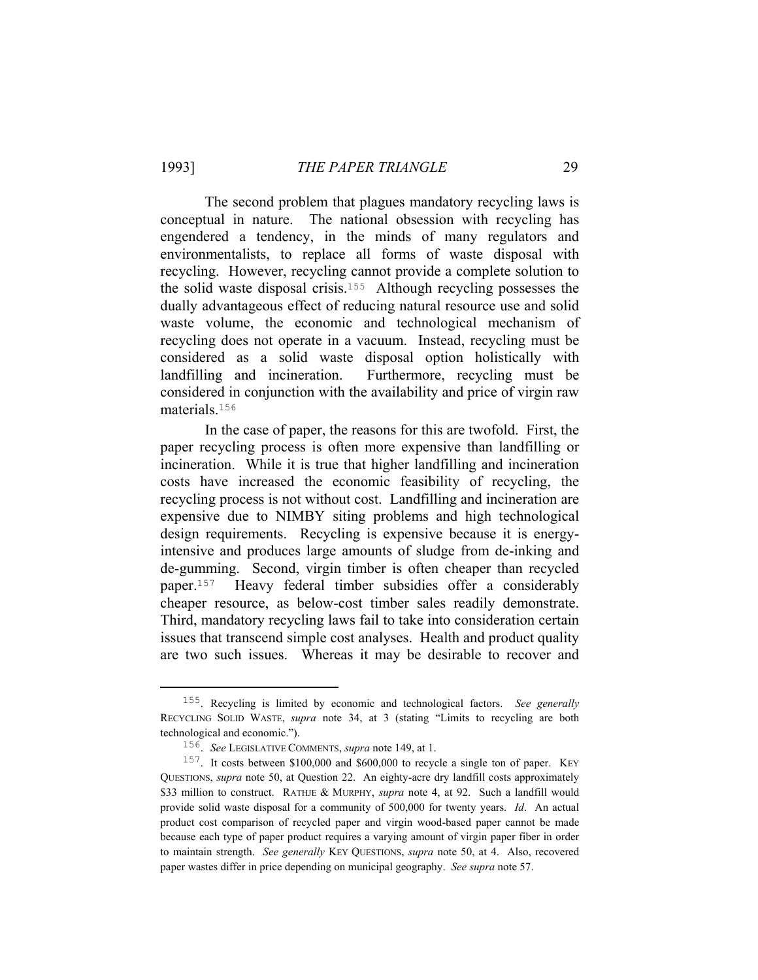The second problem that plagues mandatory recycling laws is conceptual in nature. The national obsession with recycling has engendered a tendency, in the minds of many regulators and environmentalists, to replace all forms of waste disposal with recycling. However, recycling cannot provide a complete solution to the solid waste disposal crisis.155 Although recycling possesses the dually advantageous effect of reducing natural resource use and solid waste volume, the economic and technological mechanism of recycling does not operate in a vacuum. Instead, recycling must be considered as a solid waste disposal option holistically with landfilling and incineration. Furthermore, recycling must be considered in conjunction with the availability and price of virgin raw materials.<sup>156</sup>

 In the case of paper, the reasons for this are twofold. First, the paper recycling process is often more expensive than landfilling or incineration. While it is true that higher landfilling and incineration costs have increased the economic feasibility of recycling, the recycling process is not without cost. Landfilling and incineration are expensive due to NIMBY siting problems and high technological design requirements. Recycling is expensive because it is energyintensive and produces large amounts of sludge from de-inking and de-gumming. Second, virgin timber is often cheaper than recycled paper.157 Heavy federal timber subsidies offer a considerably cheaper resource, as below-cost timber sales readily demonstrate. Third, mandatory recycling laws fail to take into consideration certain issues that transcend simple cost analyses. Health and product quality are two such issues. Whereas it may be desirable to recover and

 <sup>155</sup>. Recycling is limited by economic and technological factors. *See generally* RECYCLING SOLID WASTE, *supra* note 34, at 3 (stating "Limits to recycling are both technological and economic.").

<sup>156</sup>. *See* LEGISLATIVE COMMENTS, *supra* note 149, at 1.

<sup>157</sup>. It costs between \$100,000 and \$600,000 to recycle a single ton of paper. KEY QUESTIONS, *supra* note 50, at Question 22. An eighty-acre dry landfill costs approximately \$33 million to construct. RATHJE & MURPHY, *supra* note 4, at 92. Such a landfill would provide solid waste disposal for a community of 500,000 for twenty years. *Id*. An actual product cost comparison of recycled paper and virgin wood-based paper cannot be made because each type of paper product requires a varying amount of virgin paper fiber in order to maintain strength. *See generally* KEY QUESTIONS, *supra* note 50, at 4. Also, recovered paper wastes differ in price depending on municipal geography. *See supra* note 57.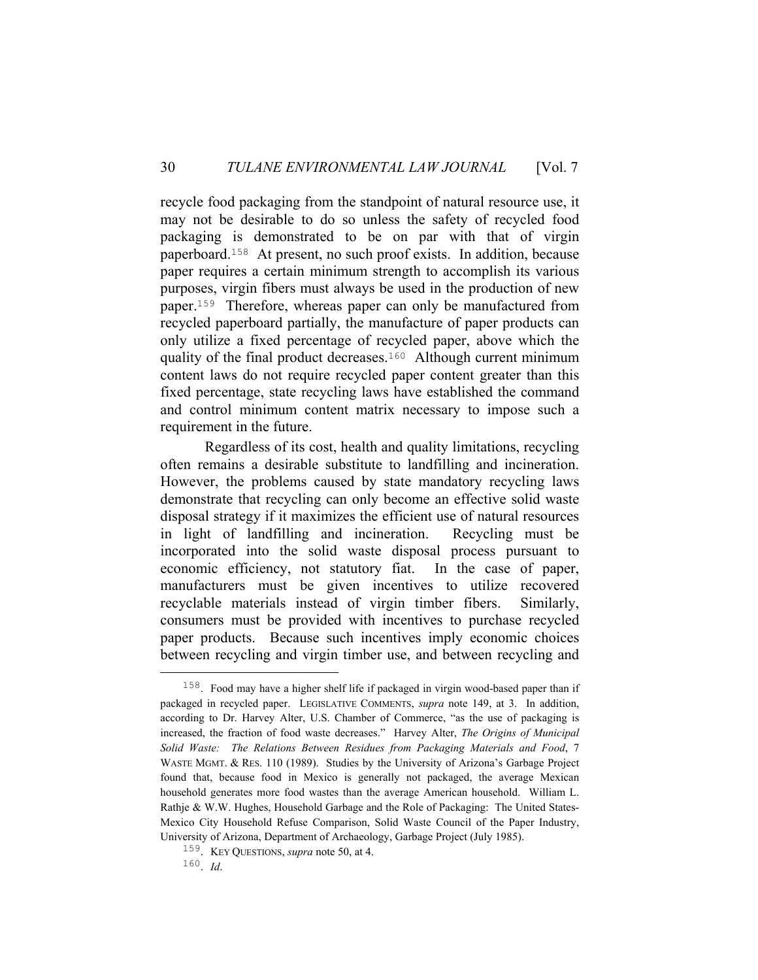recycle food packaging from the standpoint of natural resource use, it may not be desirable to do so unless the safety of recycled food packaging is demonstrated to be on par with that of virgin paperboard.158 At present, no such proof exists. In addition, because paper requires a certain minimum strength to accomplish its various purposes, virgin fibers must always be used in the production of new paper.159 Therefore, whereas paper can only be manufactured from recycled paperboard partially, the manufacture of paper products can only utilize a fixed percentage of recycled paper, above which the quality of the final product decreases.160 Although current minimum content laws do not require recycled paper content greater than this fixed percentage, state recycling laws have established the command and control minimum content matrix necessary to impose such a requirement in the future.

 Regardless of its cost, health and quality limitations, recycling often remains a desirable substitute to landfilling and incineration. However, the problems caused by state mandatory recycling laws demonstrate that recycling can only become an effective solid waste disposal strategy if it maximizes the efficient use of natural resources in light of landfilling and incineration. Recycling must be incorporated into the solid waste disposal process pursuant to economic efficiency, not statutory fiat. In the case of paper, manufacturers must be given incentives to utilize recovered recyclable materials instead of virgin timber fibers. Similarly, consumers must be provided with incentives to purchase recycled paper products. Because such incentives imply economic choices between recycling and virgin timber use, and between recycling and

 <sup>158</sup>. Food may have a higher shelf life if packaged in virgin wood-based paper than if packaged in recycled paper. LEGISLATIVE COMMENTS, *supra* note 149, at 3. In addition, according to Dr. Harvey Alter, U.S. Chamber of Commerce, "as the use of packaging is increased, the fraction of food waste decreases." Harvey Alter, *The Origins of Municipal Solid Waste: The Relations Between Residues from Packaging Materials and Food*, 7 WASTE MGMT. & RES. 110 (1989). Studies by the University of Arizona's Garbage Project found that, because food in Mexico is generally not packaged, the average Mexican household generates more food wastes than the average American household. William L. Rathje & W.W. Hughes, Household Garbage and the Role of Packaging: The United States-Mexico City Household Refuse Comparison, Solid Waste Council of the Paper Industry, University of Arizona, Department of Archaeology, Garbage Project (July 1985).

<sup>159</sup>. KEY QUESTIONS, *supra* note 50, at 4.

<sup>160</sup>. *Id*.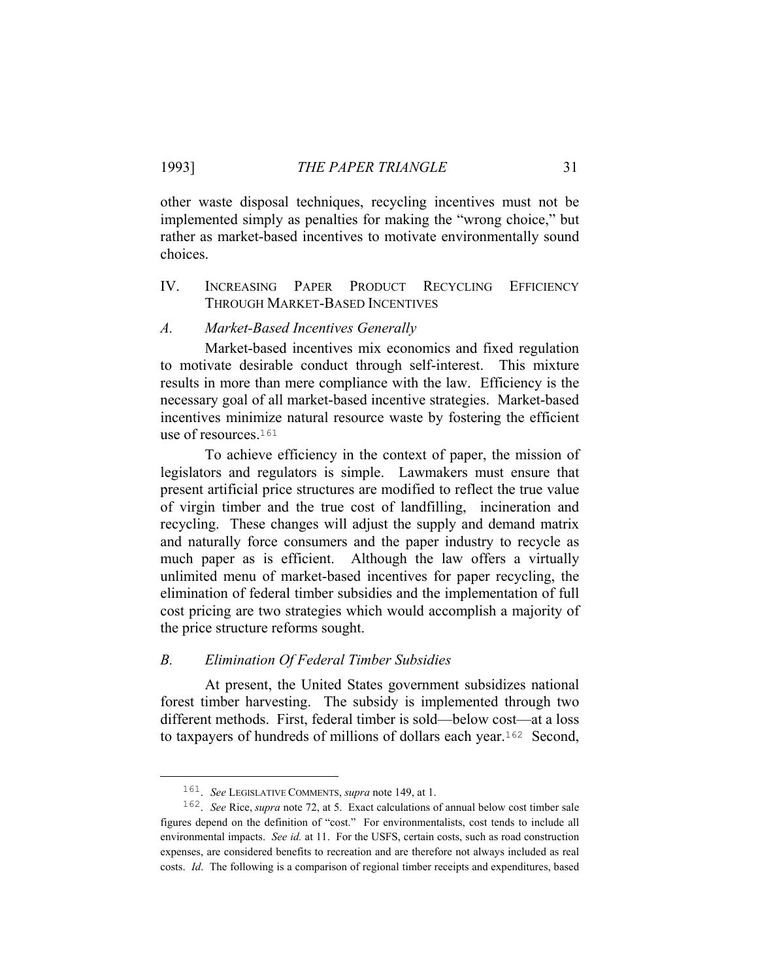other waste disposal techniques, recycling incentives must not be implemented simply as penalties for making the "wrong choice," but rather as market-based incentives to motivate environmentally sound choices.

IV. INCREASING PAPER PRODUCT RECYCLING EFFICIENCY THROUGH MARKET-BASED INCENTIVES

# *A. Market-Based Incentives Generally*

 Market-based incentives mix economics and fixed regulation to motivate desirable conduct through self-interest. This mixture results in more than mere compliance with the law. Efficiency is the necessary goal of all market-based incentive strategies. Market-based incentives minimize natural resource waste by fostering the efficient use of resources.<sup>161</sup>

 To achieve efficiency in the context of paper, the mission of legislators and regulators is simple. Lawmakers must ensure that present artificial price structures are modified to reflect the true value of virgin timber and the true cost of landfilling, incineration and recycling. These changes will adjust the supply and demand matrix and naturally force consumers and the paper industry to recycle as much paper as is efficient. Although the law offers a virtually unlimited menu of market-based incentives for paper recycling, the elimination of federal timber subsidies and the implementation of full cost pricing are two strategies which would accomplish a majority of the price structure reforms sought.

# *B. Elimination Of Federal Timber Subsidies*

 At present, the United States government subsidizes national forest timber harvesting. The subsidy is implemented through two different methods. First, federal timber is sold—below cost—at a loss to taxpayers of hundreds of millions of dollars each year.162 Second,

 <sup>161</sup>. *See* LEGISLATIVE COMMENTS, *supra* note 149, at 1.

<sup>162</sup>. *See* Rice, *supra* note 72, at 5. Exact calculations of annual below cost timber sale figures depend on the definition of "cost." For environmentalists, cost tends to include all environmental impacts. *See id.* at 11. For the USFS, certain costs, such as road construction expenses, are considered benefits to recreation and are therefore not always included as real costs. *Id*. The following is a comparison of regional timber receipts and expenditures, based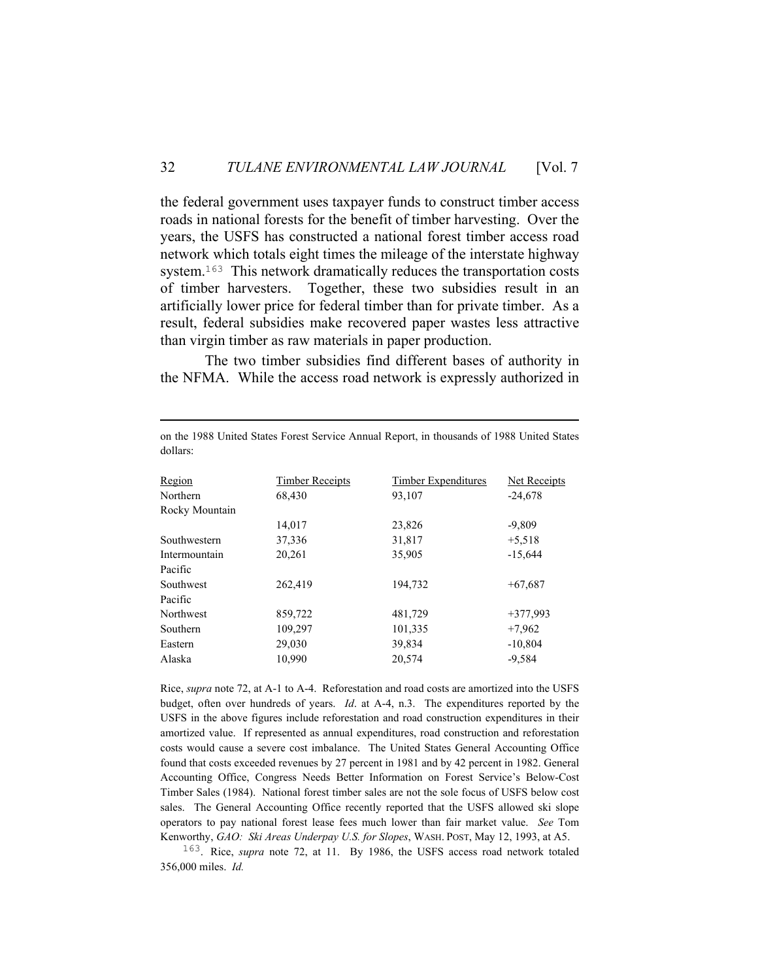the federal government uses taxpayer funds to construct timber access roads in national forests for the benefit of timber harvesting. Over the years, the USFS has constructed a national forest timber access road network which totals eight times the mileage of the interstate highway system.<sup>163</sup> This network dramatically reduces the transportation costs of timber harvesters. Together, these two subsidies result in an artificially lower price for federal timber than for private timber. As a result, federal subsidies make recovered paper wastes less attractive than virgin timber as raw materials in paper production.

 The two timber subsidies find different bases of authority in the NFMA. While the access road network is expressly authorized in

| Region         | <b>Timber Receipts</b> | Timber Expenditures | Net Receipts |
|----------------|------------------------|---------------------|--------------|
| Northern       | 68,430                 | 93,107              | $-24,678$    |
| Rocky Mountain |                        |                     |              |
|                | 14,017                 | 23,826              | $-9.809$     |
| Southwestern   | 37,336                 | 31,817              | $+5,518$     |
| Intermountain  | 20,261                 | 35,905              | $-15,644$    |
| Pacific        |                        |                     |              |
| Southwest      | 262,419                | 194,732             | $+67,687$    |
| Pacific        |                        |                     |              |
| Northwest      | 859,722                | 481,729             | $+377,993$   |
| Southern       | 109,297                | 101,335             | $+7.962$     |
| Eastern        | 29,030                 | 39,834              | $-10,804$    |
| Alaska         | 10.990                 | 20.574              | $-9.584$     |

on the 1988 United States Forest Service Annual Report, in thousands of 1988 United States dollars:

i<br>Li

Rice, *supra* note 72, at A-1 to A-4. Reforestation and road costs are amortized into the USFS budget, often over hundreds of years. *Id*. at A-4, n.3. The expenditures reported by the USFS in the above figures include reforestation and road construction expenditures in their amortized value. If represented as annual expenditures, road construction and reforestation costs would cause a severe cost imbalance. The United States General Accounting Office found that costs exceeded revenues by 27 percent in 1981 and by 42 percent in 1982. General Accounting Office, Congress Needs Better Information on Forest Service's Below-Cost Timber Sales (1984). National forest timber sales are not the sole focus of USFS below cost sales. The General Accounting Office recently reported that the USFS allowed ski slope operators to pay national forest lease fees much lower than fair market value. *See* Tom Kenworthy, *GAO: Ski Areas Underpay U.S. for Slopes*, WASH. POST, May 12, 1993, at A5.

163. Rice, *supra* note 72, at 11. By 1986, the USFS access road network totaled 356,000 miles. *Id.*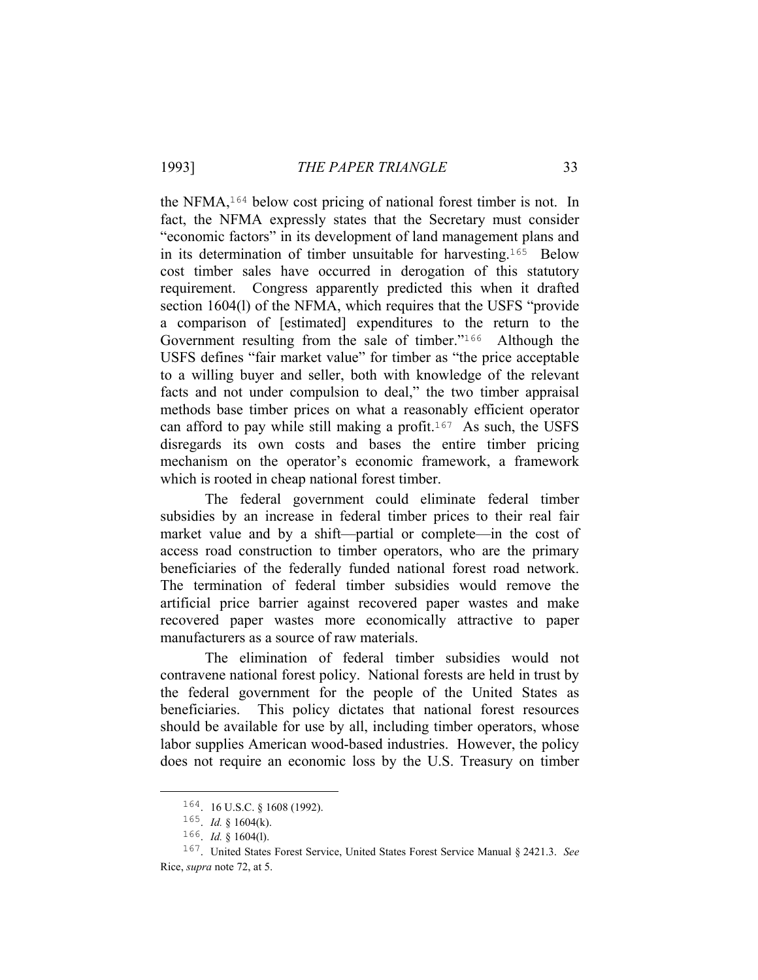the NFMA, $164$  below cost pricing of national forest timber is not. In fact, the NFMA expressly states that the Secretary must consider "economic factors" in its development of land management plans and in its determination of timber unsuitable for harvesting.165 Below cost timber sales have occurred in derogation of this statutory requirement. Congress apparently predicted this when it drafted section 1604(l) of the NFMA, which requires that the USFS "provide a comparison of [estimated] expenditures to the return to the Government resulting from the sale of timber."<sup>166</sup> Although the USFS defines "fair market value" for timber as "the price acceptable to a willing buyer and seller, both with knowledge of the relevant facts and not under compulsion to deal," the two timber appraisal methods base timber prices on what a reasonably efficient operator can afford to pay while still making a profit.<sup>167</sup> As such, the USFS disregards its own costs and bases the entire timber pricing mechanism on the operator's economic framework, a framework which is rooted in cheap national forest timber.

 The federal government could eliminate federal timber subsidies by an increase in federal timber prices to their real fair market value and by a shift—partial or complete—in the cost of access road construction to timber operators, who are the primary beneficiaries of the federally funded national forest road network. The termination of federal timber subsidies would remove the artificial price barrier against recovered paper wastes and make recovered paper wastes more economically attractive to paper manufacturers as a source of raw materials.

 The elimination of federal timber subsidies would not contravene national forest policy. National forests are held in trust by the federal government for the people of the United States as beneficiaries. This policy dictates that national forest resources should be available for use by all, including timber operators, whose labor supplies American wood-based industries. However, the policy does not require an economic loss by the U.S. Treasury on timber

 <sup>164</sup>. 16 U.S.C. § 1608 (1992).

<sup>165</sup>. *Id.* § 1604(k).

<sup>166</sup>. *Id.* § 1604(l).

<sup>167</sup>. United States Forest Service, United States Forest Service Manual § 2421.3. *See* Rice, *supra* note 72, at 5.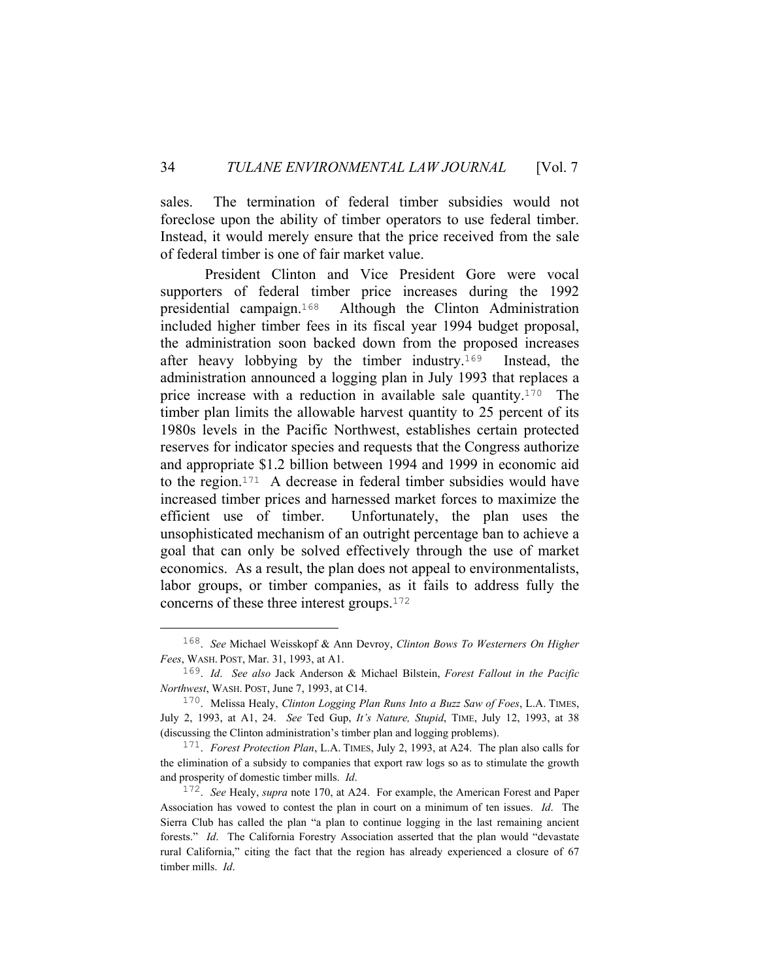sales. The termination of federal timber subsidies would not foreclose upon the ability of timber operators to use federal timber. Instead, it would merely ensure that the price received from the sale of federal timber is one of fair market value.

 President Clinton and Vice President Gore were vocal supporters of federal timber price increases during the 1992 presidential campaign.168 Although the Clinton Administration included higher timber fees in its fiscal year 1994 budget proposal, the administration soon backed down from the proposed increases after heavy lobbying by the timber industry.169 Instead, the administration announced a logging plan in July 1993 that replaces a price increase with a reduction in available sale quantity.170 The timber plan limits the allowable harvest quantity to 25 percent of its 1980s levels in the Pacific Northwest, establishes certain protected reserves for indicator species and requests that the Congress authorize and appropriate \$1.2 billion between 1994 and 1999 in economic aid to the region.171 A decrease in federal timber subsidies would have increased timber prices and harnessed market forces to maximize the efficient use of timber. Unfortunately, the plan uses the unsophisticated mechanism of an outright percentage ban to achieve a goal that can only be solved effectively through the use of market economics. As a result, the plan does not appeal to environmentalists, labor groups, or timber companies, as it fails to address fully the concerns of these three interest groups.<sup>172</sup>

 <sup>168</sup>. *See* Michael Weisskopf & Ann Devroy, *Clinton Bows To Westerners On Higher Fees*, WASH. POST, Mar. 31, 1993, at A1.

<sup>169</sup>. *Id*. *See also* Jack Anderson & Michael Bilstein, *Forest Fallout in the Pacific Northwest*, WASH. POST, June 7, 1993, at C14.

<sup>170</sup>. Melissa Healy, *Clinton Logging Plan Runs Into a Buzz Saw of Foes*, L.A. TIMES, July 2, 1993, at A1, 24. *See* Ted Gup, *It's Nature, Stupid*, TIME, July 12, 1993, at 38 (discussing the Clinton administration's timber plan and logging problems).

<sup>171</sup>. *Forest Protection Plan*, L.A. TIMES, July 2, 1993, at A24. The plan also calls for the elimination of a subsidy to companies that export raw logs so as to stimulate the growth and prosperity of domestic timber mills. *Id*.

<sup>172</sup>. *See* Healy, *supra* note 170, at A24. For example, the American Forest and Paper Association has vowed to contest the plan in court on a minimum of ten issues. *Id*. The Sierra Club has called the plan "a plan to continue logging in the last remaining ancient forests." *Id*. The California Forestry Association asserted that the plan would "devastate rural California," citing the fact that the region has already experienced a closure of 67 timber mills. *Id*.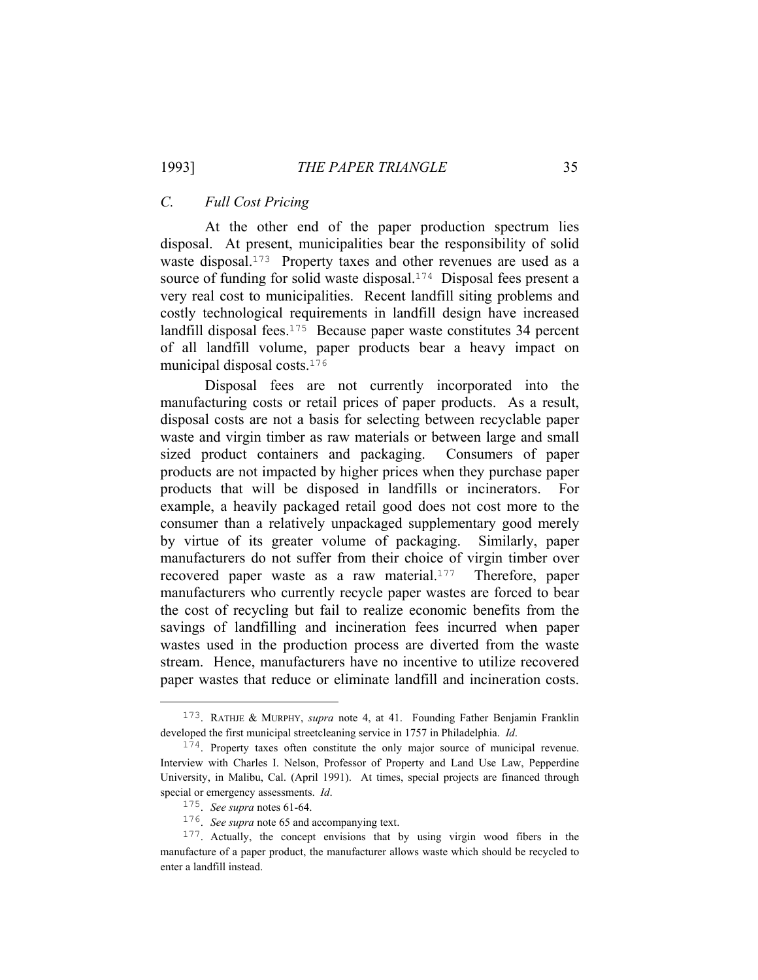## *C. Full Cost Pricing*

 At the other end of the paper production spectrum lies disposal. At present, municipalities bear the responsibility of solid waste disposal.<sup>173</sup> Property taxes and other revenues are used as a source of funding for solid waste disposal.<sup>174</sup> Disposal fees present a very real cost to municipalities. Recent landfill siting problems and costly technological requirements in landfill design have increased landfill disposal fees.<sup>175</sup> Because paper waste constitutes 34 percent of all landfill volume, paper products bear a heavy impact on municipal disposal costs.<sup>176</sup>

 Disposal fees are not currently incorporated into the manufacturing costs or retail prices of paper products. As a result, disposal costs are not a basis for selecting between recyclable paper waste and virgin timber as raw materials or between large and small sized product containers and packaging. Consumers of paper products are not impacted by higher prices when they purchase paper products that will be disposed in landfills or incinerators. For example, a heavily packaged retail good does not cost more to the consumer than a relatively unpackaged supplementary good merely by virtue of its greater volume of packaging. Similarly, paper manufacturers do not suffer from their choice of virgin timber over recovered paper waste as a raw material.<sup>177</sup> Therefore, paper manufacturers who currently recycle paper wastes are forced to bear the cost of recycling but fail to realize economic benefits from the savings of landfilling and incineration fees incurred when paper wastes used in the production process are diverted from the waste stream. Hence, manufacturers have no incentive to utilize recovered paper wastes that reduce or eliminate landfill and incineration costs.

 <sup>173</sup>. RATHJE & MURPHY, *supra* note 4, at 41. Founding Father Benjamin Franklin developed the first municipal streetcleaning service in 1757 in Philadelphia. *Id*.

<sup>&</sup>lt;sup>174</sup>. Property taxes often constitute the only major source of municipal revenue. Interview with Charles I. Nelson, Professor of Property and Land Use Law, Pepperdine University, in Malibu, Cal. (April 1991). At times, special projects are financed through special or emergency assessments. *Id*.

<sup>175</sup>. *See supra* notes 61-64.

<sup>176</sup>. *See supra* note 65 and accompanying text.

<sup>177</sup>. Actually, the concept envisions that by using virgin wood fibers in the manufacture of a paper product, the manufacturer allows waste which should be recycled to enter a landfill instead.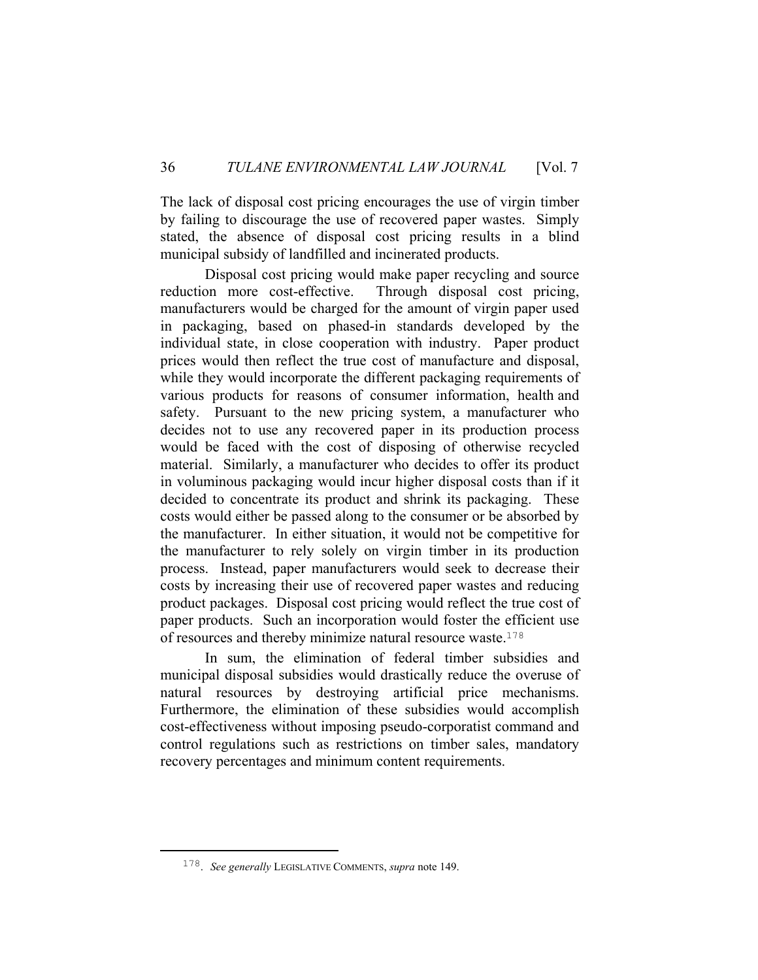The lack of disposal cost pricing encourages the use of virgin timber by failing to discourage the use of recovered paper wastes. Simply stated, the absence of disposal cost pricing results in a blind municipal subsidy of landfilled and incinerated products.

 Disposal cost pricing would make paper recycling and source reduction more cost-effective. Through disposal cost pricing, manufacturers would be charged for the amount of virgin paper used in packaging, based on phased-in standards developed by the individual state, in close cooperation with industry. Paper product prices would then reflect the true cost of manufacture and disposal, while they would incorporate the different packaging requirements of various products for reasons of consumer information, health and safety. Pursuant to the new pricing system, a manufacturer who decides not to use any recovered paper in its production process would be faced with the cost of disposing of otherwise recycled material. Similarly, a manufacturer who decides to offer its product in voluminous packaging would incur higher disposal costs than if it decided to concentrate its product and shrink its packaging. These costs would either be passed along to the consumer or be absorbed by the manufacturer. In either situation, it would not be competitive for the manufacturer to rely solely on virgin timber in its production process. Instead, paper manufacturers would seek to decrease their costs by increasing their use of recovered paper wastes and reducing product packages. Disposal cost pricing would reflect the true cost of paper products. Such an incorporation would foster the efficient use of resources and thereby minimize natural resource waste.<sup>178</sup>

 In sum, the elimination of federal timber subsidies and municipal disposal subsidies would drastically reduce the overuse of natural resources by destroying artificial price mechanisms. Furthermore, the elimination of these subsidies would accomplish cost-effectiveness without imposing pseudo-corporatist command and control regulations such as restrictions on timber sales, mandatory recovery percentages and minimum content requirements.

 <sup>178</sup>. *See generally* LEGISLATIVE COMMENTS, *supra* note 149.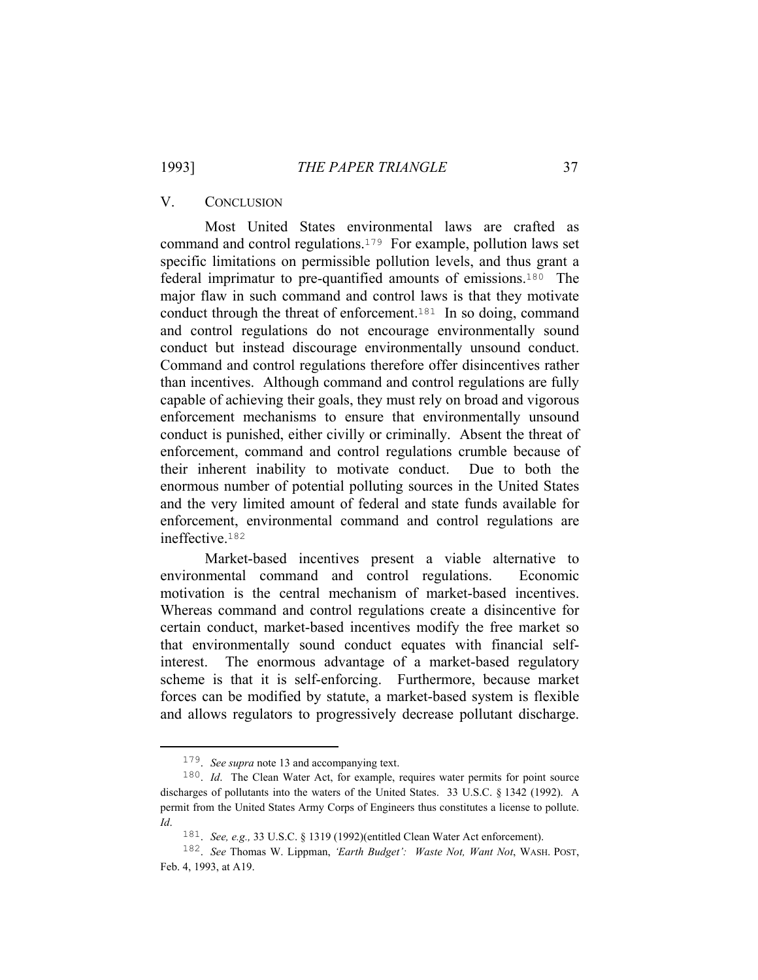#### V. CONCLUSION

 Most United States environmental laws are crafted as command and control regulations.179 For example, pollution laws set specific limitations on permissible pollution levels, and thus grant a federal imprimatur to pre-quantified amounts of emissions.180 The major flaw in such command and control laws is that they motivate conduct through the threat of enforcement.<sup>181</sup> In so doing, command and control regulations do not encourage environmentally sound conduct but instead discourage environmentally unsound conduct. Command and control regulations therefore offer disincentives rather than incentives. Although command and control regulations are fully capable of achieving their goals, they must rely on broad and vigorous enforcement mechanisms to ensure that environmentally unsound conduct is punished, either civilly or criminally. Absent the threat of enforcement, command and control regulations crumble because of their inherent inability to motivate conduct. Due to both the enormous number of potential polluting sources in the United States and the very limited amount of federal and state funds available for enforcement, environmental command and control regulations are ineffective.<sup>182</sup>

 Market-based incentives present a viable alternative to environmental command and control regulations. Economic motivation is the central mechanism of market-based incentives. Whereas command and control regulations create a disincentive for certain conduct, market-based incentives modify the free market so that environmentally sound conduct equates with financial selfinterest. The enormous advantage of a market-based regulatory scheme is that it is self-enforcing. Furthermore, because market forces can be modified by statute, a market-based system is flexible and allows regulators to progressively decrease pollutant discharge.

 <sup>179</sup>. *See supra* note 13 and accompanying text.

<sup>&</sup>lt;sup>180</sup>. *Id.* The Clean Water Act, for example, requires water permits for point source discharges of pollutants into the waters of the United States. 33 U.S.C. § 1342 (1992). A permit from the United States Army Corps of Engineers thus constitutes a license to pollute. *Id*.

<sup>181</sup>. *See, e.g.,* 33 U.S.C. § 1319 (1992)(entitled Clean Water Act enforcement).

<sup>182</sup>. *See* Thomas W. Lippman, *'Earth Budget': Waste Not, Want Not*, WASH. POST, Feb. 4, 1993, at A19.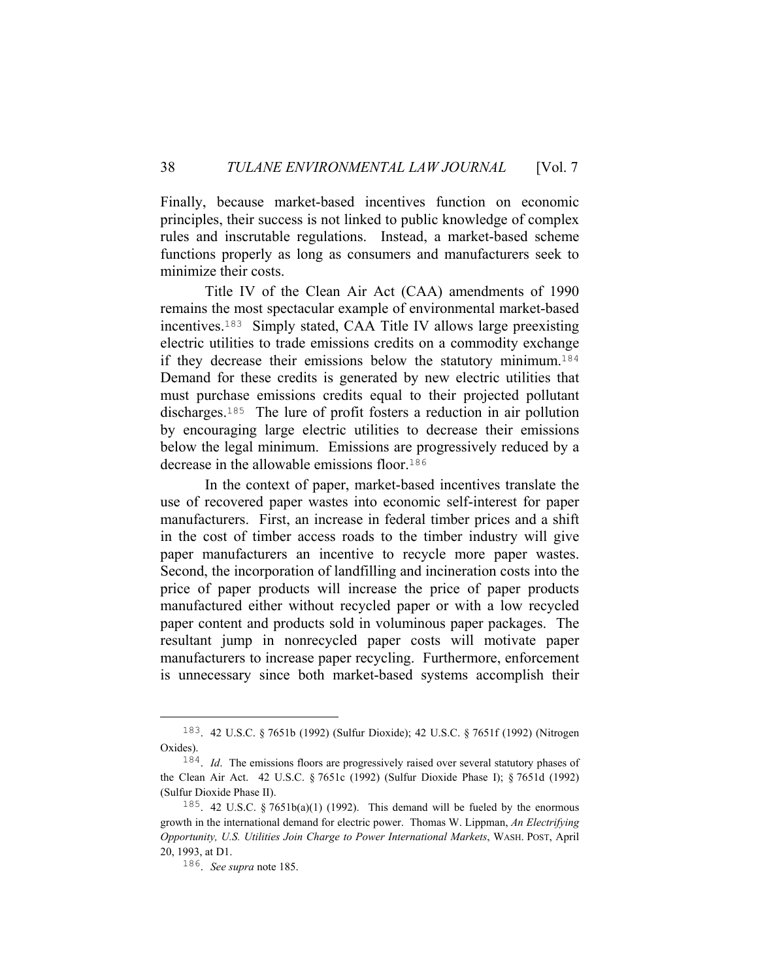Finally, because market-based incentives function on economic principles, their success is not linked to public knowledge of complex rules and inscrutable regulations. Instead, a market-based scheme functions properly as long as consumers and manufacturers seek to minimize their costs.

 Title IV of the Clean Air Act (CAA) amendments of 1990 remains the most spectacular example of environmental market-based incentives.183 Simply stated, CAA Title IV allows large preexisting electric utilities to trade emissions credits on a commodity exchange if they decrease their emissions below the statutory minimum.<sup>184</sup> Demand for these credits is generated by new electric utilities that must purchase emissions credits equal to their projected pollutant discharges.185 The lure of profit fosters a reduction in air pollution by encouraging large electric utilities to decrease their emissions below the legal minimum. Emissions are progressively reduced by a decrease in the allowable emissions floor.<sup>186</sup>

 In the context of paper, market-based incentives translate the use of recovered paper wastes into economic self-interest for paper manufacturers. First, an increase in federal timber prices and a shift in the cost of timber access roads to the timber industry will give paper manufacturers an incentive to recycle more paper wastes. Second, the incorporation of landfilling and incineration costs into the price of paper products will increase the price of paper products manufactured either without recycled paper or with a low recycled paper content and products sold in voluminous paper packages. The resultant jump in nonrecycled paper costs will motivate paper manufacturers to increase paper recycling. Furthermore, enforcement is unnecessary since both market-based systems accomplish their

 <sup>183</sup>. 42 U.S.C. § 7651b (1992) (Sulfur Dioxide); 42 U.S.C. § 7651f (1992) (Nitrogen Oxides).

<sup>184</sup>. *Id*. The emissions floors are progressively raised over several statutory phases of the Clean Air Act. 42 U.S.C. § 7651c (1992) (Sulfur Dioxide Phase I); § 7651d (1992) (Sulfur Dioxide Phase II).

<sup>&</sup>lt;sup>185</sup>. 42 U.S.C. § 7651b(a)(1) (1992). This demand will be fueled by the enormous growth in the international demand for electric power. Thomas W. Lippman, *An Electrifying Opportunity, U.S. Utilities Join Charge to Power International Markets*, WASH. POST, April 20, 1993, at D1.

<sup>186</sup>. *See supra* note 185.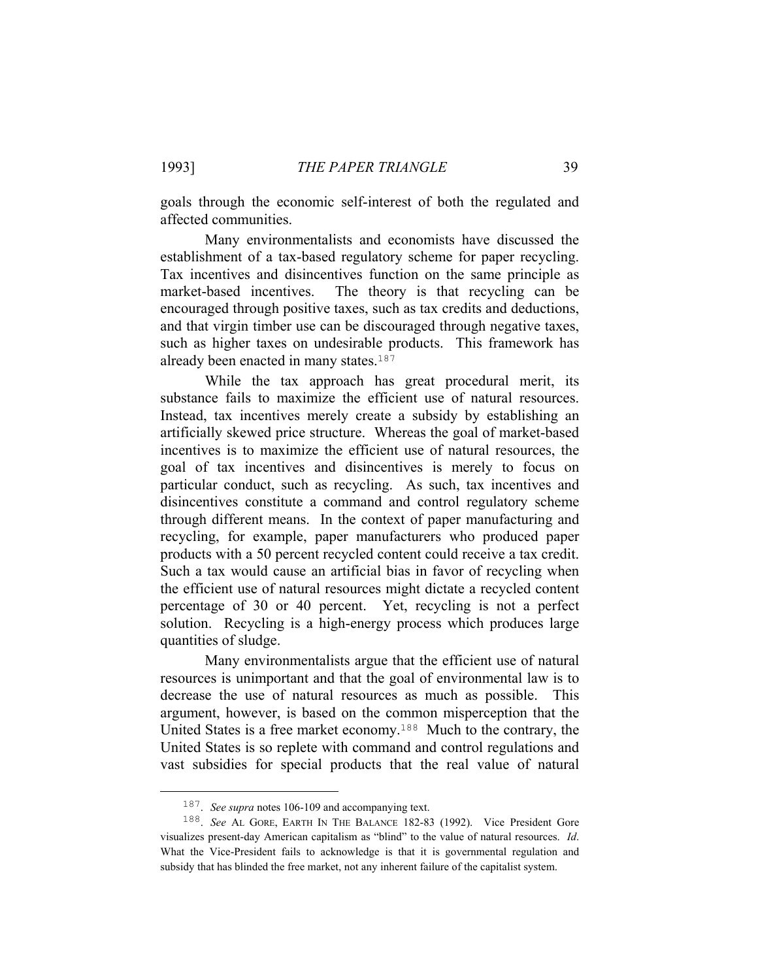goals through the economic self-interest of both the regulated and affected communities.

 Many environmentalists and economists have discussed the establishment of a tax-based regulatory scheme for paper recycling. Tax incentives and disincentives function on the same principle as market-based incentives. The theory is that recycling can be encouraged through positive taxes, such as tax credits and deductions, and that virgin timber use can be discouraged through negative taxes, such as higher taxes on undesirable products. This framework has already been enacted in many states.<sup>187</sup>

 While the tax approach has great procedural merit, its substance fails to maximize the efficient use of natural resources. Instead, tax incentives merely create a subsidy by establishing an artificially skewed price structure. Whereas the goal of market-based incentives is to maximize the efficient use of natural resources, the goal of tax incentives and disincentives is merely to focus on particular conduct, such as recycling. As such, tax incentives and disincentives constitute a command and control regulatory scheme through different means. In the context of paper manufacturing and recycling, for example, paper manufacturers who produced paper products with a 50 percent recycled content could receive a tax credit. Such a tax would cause an artificial bias in favor of recycling when the efficient use of natural resources might dictate a recycled content percentage of 30 or 40 percent. Yet, recycling is not a perfect solution. Recycling is a high-energy process which produces large quantities of sludge.

 Many environmentalists argue that the efficient use of natural resources is unimportant and that the goal of environmental law is to decrease the use of natural resources as much as possible. This argument, however, is based on the common misperception that the United States is a free market economy.188 Much to the contrary, the United States is so replete with command and control regulations and vast subsidies for special products that the real value of natural

 <sup>187</sup>. *See supra* notes 106-109 and accompanying text.

<sup>188</sup>. *See* AL GORE, EARTH IN THE BALANCE 182-83 (1992). Vice President Gore visualizes present-day American capitalism as "blind" to the value of natural resources. *Id*. What the Vice-President fails to acknowledge is that it is governmental regulation and subsidy that has blinded the free market, not any inherent failure of the capitalist system.